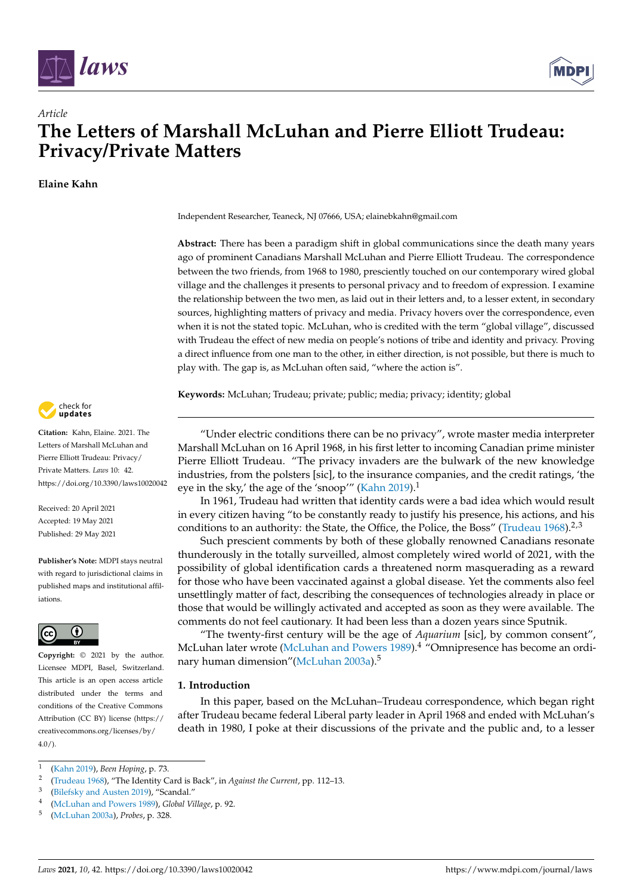



# **The Letters of Marshall McLuhan and Pierre Elliott Trudeau: Privacy/Private Matters**

**Elaine Kahn**

*Article*



**Citation:** Kahn, Elaine. 2021. The Letters of Marshall McLuhan and Pierre Elliott Trudeau: Privacy/ Private Matters. *Laws* 10: 42. <https://doi.org/10.3390/laws10020042>

Received: 20 April 2021 Accepted: 19 May 2021 Published: 29 May 2021

**Publisher's Note:** MDPI stays neutral with regard to jurisdictional claims in published maps and institutional affiliations.



**Copyright:** © 2021 by the author. Licensee MDPI, Basel, Switzerland. This article is an open access article distributed under the terms and conditions of the Creative Commons Attribution (CC BY) license (https:/[/](https://creativecommons.org/licenses/by/4.0/) [creativecommons.org/licenses/by/](https://creativecommons.org/licenses/by/4.0/)  $4.0/$ ).

Independent Researcher, Teaneck, NJ 07666, USA; elainebkahn@gmail.com

**Abstract:** There has been a paradigm shift in global communications since the death many years ago of prominent Canadians Marshall McLuhan and Pierre Elliott Trudeau. The correspondence between the two friends, from 1968 to 1980, presciently touched on our contemporary wired global village and the challenges it presents to personal privacy and to freedom of expression. I examine the relationship between the two men, as laid out in their letters and, to a lesser extent, in secondary sources, highlighting matters of privacy and media. Privacy hovers over the correspondence, even when it is not the stated topic. McLuhan, who is credited with the term "global village", discussed with Trudeau the effect of new media on people's notions of tribe and identity and privacy. Proving a direct influence from one man to the other, in either direction, is not possible, but there is much to play with. The gap is, as McLuhan often said, "where the action is".

**Keywords:** McLuhan; Trudeau; private; public; media; privacy; identity; global

"Under electric conditions there can be no privacy", wrote master media interpreter Marshall McLuhan on 16 April 1968, in his first letter to incoming Canadian prime minister Pierre Elliott Trudeau. "The privacy invaders are the bulwark of the new knowledge industries, from the polsters [sic], to the insurance companies, and the credit ratings, 'the eye in the sky,' the age of the 'snoop'" [\(Kahn](#page-23-0) [2019\)](#page-23-0).<sup>1</sup>

In 1961, Trudeau had written that identity cards were a bad idea which would result in every citizen having "to be constantly ready to justify his presence, his actions, and his conditions to an authority: the State, the Office, the Police, the Boss" [\(Trudeau](#page-23-1) [1968\)](#page-23-1).<sup>2,3</sup>

Such prescient comments by both of these globally renowned Canadians resonate thunderously in the totally surveilled, almost completely wired world of 2021, with the possibility of global identification cards a threatened norm masquerading as a reward for those who have been vaccinated against a global disease. Yet the comments also feel unsettlingly matter of fact, describing the consequences of technologies already in place or those that would be willingly activated and accepted as soon as they were available. The comments do not feel cautionary. It had been less than a dozen years since Sputnik.

"The twenty-first century will be the age of *Aquarium* [sic], by common consent", McLuhan later wrote [\(McLuhan and Powers](#page-23-2) [1989\)](#page-23-2).<sup>4</sup> "Omnipresence has become an ordinary human dimension"[\(McLuhan](#page-23-3) [2003a\)](#page-23-3).<sup>5</sup>

# **1. Introduction**

In this paper, based on the McLuhan–Trudeau correspondence, which began right after Trudeau became federal Liberal party leader in April 1968 and ended with McLuhan's death in 1980, I poke at their discussions of the private and the public and, to a lesser

1 [\(Kahn](#page-23-0) [2019\)](#page-23-0), *Been Hoping*, p. 73.

<sup>2</sup> [\(Trudeau](#page-23-1) [1968\)](#page-23-1), "The Identity Card is Back", in *Against the Current*, pp. 112–13.

<sup>3</sup> [\(Bilefsky and Austen](#page-22-0) [2019\)](#page-22-0), "Scandal."

<sup>4</sup> [\(McLuhan and Powers](#page-23-2) [1989\)](#page-23-2), *Global Village*, p. 92.

<sup>5</sup> [\(McLuhan](#page-23-3) [2003a\)](#page-23-3), *Probes*, p. 328.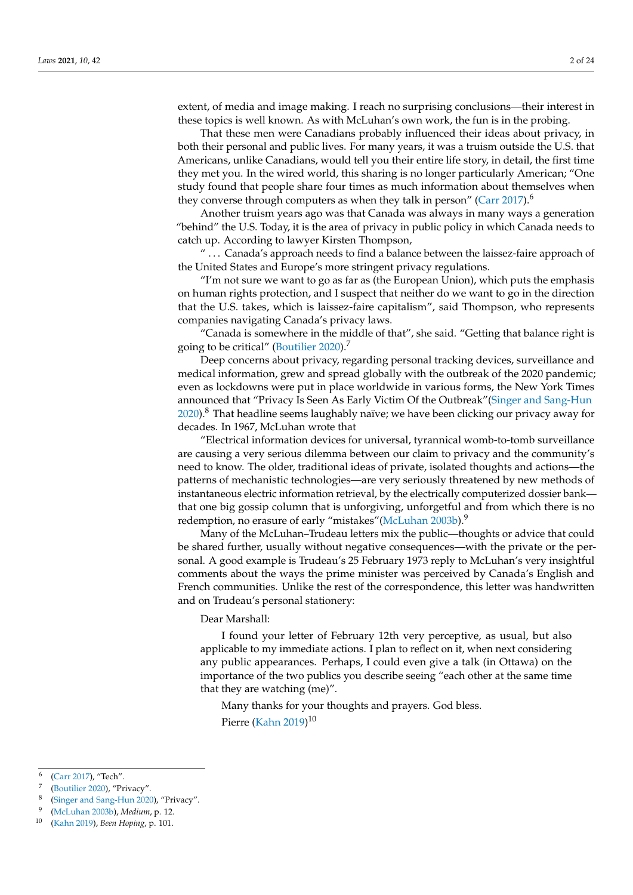extent, of media and image making. I reach no surprising conclusions—their interest in these topics is well known. As with McLuhan's own work, the fun is in the probing.

That these men were Canadians probably influenced their ideas about privacy, in both their personal and public lives. For many years, it was a truism outside the U.S. that Americans, unlike Canadians, would tell you their entire life story, in detail, the first time they met you. In the wired world, this sharing is no longer particularly American; "One study found that people share four times as much information about themselves when they converse through computers as when they talk in person" [\(Carr](#page-23-4) [2017\)](#page-23-4).<sup>6</sup>

Another truism years ago was that Canada was always in many ways a generation "behind" the U.S. Today, it is the area of privacy in public policy in which Canada needs to catch up. According to lawyer Kirsten Thompson,

" . . . Canada's approach needs to find a balance between the laissez-faire approach of the United States and Europe's more stringent privacy regulations.

"I'm not sure we want to go as far as (the European Union), which puts the emphasis on human rights protection, and I suspect that neither do we want to go in the direction that the U.S. takes, which is laissez-faire capitalism", said Thompson, who represents companies navigating Canada's privacy laws.

"Canada is somewhere in the middle of that", she said. "Getting that balance right is going to be critical" [\(Boutilier](#page-23-5) [2020\)](#page-23-5).<sup>7</sup>

Deep concerns about privacy, regarding personal tracking devices, surveillance and medical information, grew and spread globally with the outbreak of the 2020 pandemic; even as lockdowns were put in place worldwide in various forms, the New York Times announced that "Privacy Is Seen As Early Victim Of the Outbreak"[\(Singer and Sang-Hun](#page-23-6)  $2020$ ).<sup>8</sup> That headline seems laughably naïve; we have been clicking our privacy away for decades. In 1967, McLuhan wrote that

"Electrical information devices for universal, tyrannical womb-to-tomb surveillance are causing a very serious dilemma between our claim to privacy and the community's need to know. The older, traditional ideas of private, isolated thoughts and actions—the patterns of mechanistic technologies—are very seriously threatened by new methods of instantaneous electric information retrieval, by the electrically computerized dossier bank that one big gossip column that is unforgiving, unforgetful and from which there is no redemption, no erasure of early "mistakes" [\(McLuhan](#page-23-7) [2003b\)](#page-23-7).<sup>9</sup>

Many of the McLuhan–Trudeau letters mix the public—thoughts or advice that could be shared further, usually without negative consequences—with the private or the personal. A good example is Trudeau's 25 February 1973 reply to McLuhan's very insightful comments about the ways the prime minister was perceived by Canada's English and French communities. Unlike the rest of the correspondence, this letter was handwritten and on Trudeau's personal stationery:

## Dear Marshall:

I found your letter of February 12th very perceptive, as usual, but also applicable to my immediate actions. I plan to reflect on it, when next considering any public appearances. Perhaps, I could even give a talk (in Ottawa) on the importance of the two publics you describe seeing "each other at the same time that they are watching (me)".

Many thanks for your thoughts and prayers. God bless. Pierre [\(Kahn](#page-23-0) [2019\)](#page-23-0)<sup>10</sup>

<sup>6</sup> [\(Carr](#page-23-4) [2017\)](#page-23-4), "Tech".

<sup>7</sup> [\(Boutilier](#page-23-5) [2020\)](#page-23-5), "Privacy".

<sup>8</sup> [\(Singer and Sang-Hun](#page-23-6) [2020\)](#page-23-6), "Privacy".

<sup>9</sup> [\(McLuhan](#page-23-7) [2003b\)](#page-23-7), *Medium*, p. 12.

<sup>10</sup> [\(Kahn](#page-23-0) [2019\)](#page-23-0), *Been Hoping*, p. 101.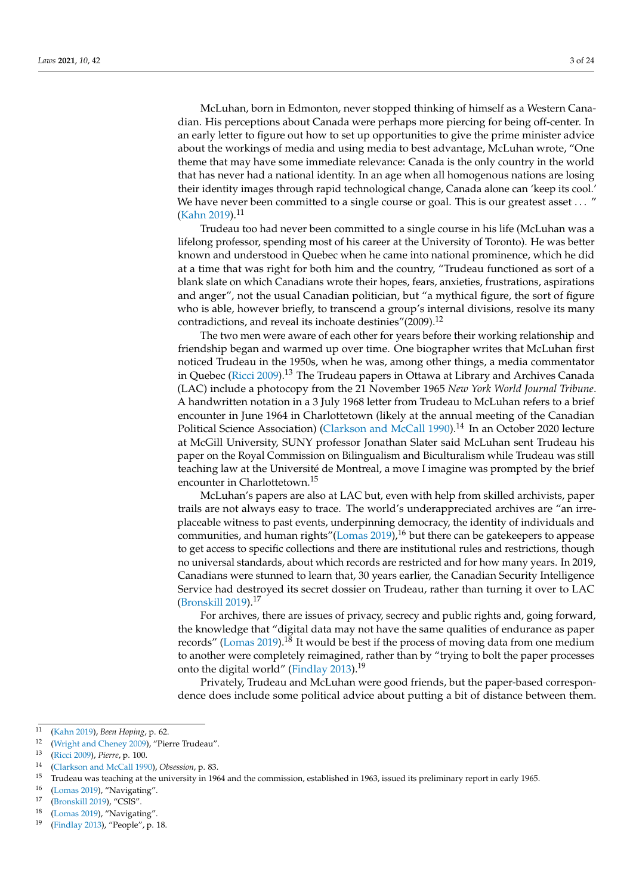McLuhan, born in Edmonton, never stopped thinking of himself as a Western Canadian. His perceptions about Canada were perhaps more piercing for being off-center. In an early letter to figure out how to set up opportunities to give the prime minister advice about the workings of media and using media to best advantage, McLuhan wrote, "One theme that may have some immediate relevance: Canada is the only country in the world that has never had a national identity. In an age when all homogenous nations are losing their identity images through rapid technological change, Canada alone can 'keep its cool.' We have never been committed to a single course or goal. This is our greatest asset ... " [\(Kahn](#page-23-0) [2019\)](#page-23-0).<sup>11</sup>

Trudeau too had never been committed to a single course in his life (McLuhan was a lifelong professor, spending most of his career at the University of Toronto). He was better known and understood in Quebec when he came into national prominence, which he did at a time that was right for both him and the country, "Trudeau functioned as sort of a blank slate on which Canadians wrote their hopes, fears, anxieties, frustrations, aspirations and anger", not the usual Canadian politician, but "a mythical figure, the sort of figure who is able, however briefly, to transcend a group's internal divisions, resolve its many contradictions, and reveal its inchoate destinies"(2009).<sup>12</sup>

The two men were aware of each other for years before their working relationship and friendship began and warmed up over time. One biographer writes that McLuhan first noticed Trudeau in the 1950s, when he was, among other things, a media commentator in Quebec [\(Ricci](#page-23-8) [2009\)](#page-23-8).<sup>13</sup> The Trudeau papers in Ottawa at Library and Archives Canada (LAC) include a photocopy from the 21 November 1965 *New York World Journal Tribune*. A handwritten notation in a 3 July 1968 letter from Trudeau to McLuhan refers to a brief encounter in June 1964 in Charlottetown (likely at the annual meeting of the Canadian Political Science Association) [\(Clarkson and McCall](#page-23-9) [1990\)](#page-23-9).<sup>14</sup> In an October 2020 lecture at McGill University, SUNY professor Jonathan Slater said McLuhan sent Trudeau his paper on the Royal Commission on Bilingualism and Biculturalism while Trudeau was still teaching law at the Université de Montreal, a move I imagine was prompted by the brief encounter in Charlottetown.<sup>15</sup>

McLuhan's papers are also at LAC but, even with help from skilled archivists, paper trails are not always easy to trace. The world's underappreciated archives are "an irreplaceable witness to past events, underpinning democracy, the identity of individuals and communities, and human rights"[\(Lomas](#page-23-10) [2019\)](#page-23-10), $^{16}$  but there can be gatekeepers to appease to get access to specific collections and there are institutional rules and restrictions, though no universal standards, about which records are restricted and for how many years. In 2019, Canadians were stunned to learn that, 30 years earlier, the Canadian Security Intelligence Service had destroyed its secret dossier on Trudeau, rather than turning it over to LAC [\(Bronskill](#page-23-11) [2019\)](#page-23-11).<sup>17</sup>

For archives, there are issues of privacy, secrecy and public rights and, going forward, the knowledge that "digital data may not have the same qualities of endurance as paper records" [\(Lomas](#page-23-10)  $2019$ ).<sup>18</sup> It would be best if the process of moving data from one medium to another were completely reimagined, rather than by "trying to bolt the paper processes onto the digital world" [\(Findlay](#page-23-12) [2013\)](#page-23-12).<sup>19</sup>

Privately, Trudeau and McLuhan were good friends, but the paper-based correspondence does include some political advice about putting a bit of distance between them.

<sup>18</sup> [\(Lomas](#page-23-10) [2019\)](#page-23-10), "Navigating".<br><sup>19</sup> (Eindlaw 2013), "People", p.

<sup>11</sup> [\(Kahn](#page-23-0) [2019\)](#page-23-0), *Been Hoping*, p. 62.

[<sup>\(</sup>Wright and Cheney](#page-23-13) [2009\)](#page-23-13), "Pierre Trudeau".

<sup>13</sup> [\(Ricci](#page-23-8) [2009\)](#page-23-8), *Pierre*, p. 100.

<sup>14</sup> [\(Clarkson and McCall](#page-23-9) [1990\)](#page-23-9), *Obsession*, p. 83.

<sup>&</sup>lt;sup>15</sup> Trudeau was teaching at the university in 1964 and the commission, established in 1963, issued its preliminary report in early 1965.<br><sup>16</sup>  $\sigma$  and  $\mu$ <sup>1</sup>

 $^{16}$  [\(Lomas](#page-23-10) [2019\)](#page-23-10), "Navigating".

[<sup>\(</sup>Bronskill](#page-23-11) [2019\)](#page-23-11), "CSIS".

[<sup>\(</sup>Findlay](#page-23-12) [2013\)](#page-23-12), "People", p. 18.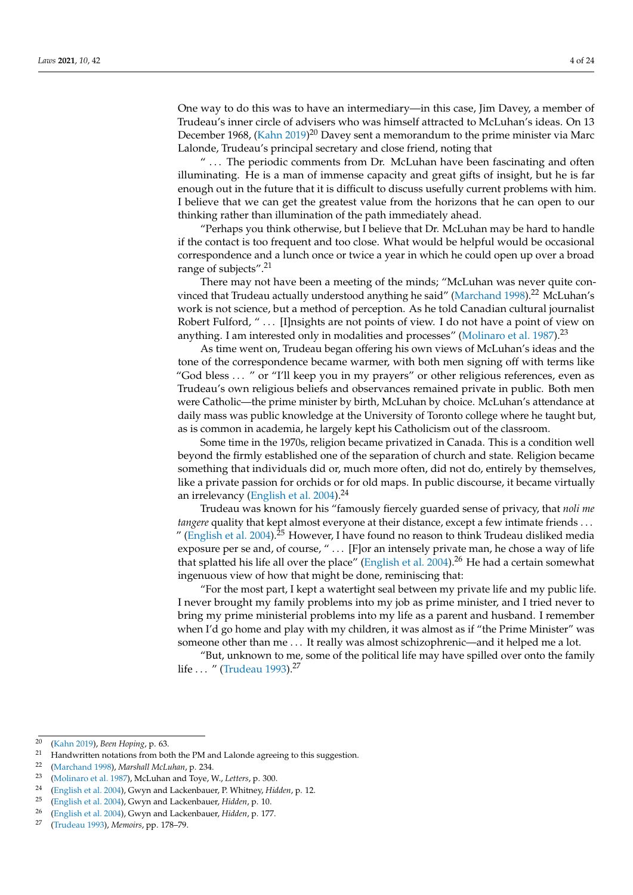One way to do this was to have an intermediary—in this case, Jim Davey, a member of Trudeau's inner circle of advisers who was himself attracted to McLuhan's ideas. On 13 December 1968, [\(Kahn](#page-23-0) [2019\)](#page-23-0)<sup>20</sup> Davey sent a memorandum to the prime minister via Marc Lalonde, Trudeau's principal secretary and close friend, noting that

" . . . The periodic comments from Dr. McLuhan have been fascinating and often illuminating. He is a man of immense capacity and great gifts of insight, but he is far enough out in the future that it is difficult to discuss usefully current problems with him. I believe that we can get the greatest value from the horizons that he can open to our thinking rather than illumination of the path immediately ahead.

"Perhaps you think otherwise, but I believe that Dr. McLuhan may be hard to handle if the contact is too frequent and too close. What would be helpful would be occasional correspondence and a lunch once or twice a year in which he could open up over a broad range of subjects".<sup>21</sup>

There may not have been a meeting of the minds; "McLuhan was never quite con-vinced that Trudeau actually understood anything he said" [\(Marchand](#page-23-14) [1998\)](#page-23-14).<sup>22</sup> McLuhan's work is not science, but a method of perception. As he told Canadian cultural journalist Robert Fulford, " . . . [I]nsights are not points of view. I do not have a point of view on anything. I am interested only in modalities and processes" [\(Molinaro et al.](#page-23-15) [1987\)](#page-23-15).<sup>23</sup>

As time went on, Trudeau began offering his own views of McLuhan's ideas and the tone of the correspondence became warmer, with both men signing off with terms like "God bless . . . " or "I'll keep you in my prayers" or other religious references, even as Trudeau's own religious beliefs and observances remained private in public. Both men were Catholic—the prime minister by birth, McLuhan by choice. McLuhan's attendance at daily mass was public knowledge at the University of Toronto college where he taught but, as is common in academia, he largely kept his Catholicism out of the classroom.

Some time in the 1970s, religion became privatized in Canada. This is a condition well beyond the firmly established one of the separation of church and state. Religion became something that individuals did or, much more often, did not do, entirely by themselves, like a private passion for orchids or for old maps. In public discourse, it became virtually an irrelevancy [\(English et al.](#page-23-16) [2004\)](#page-23-16).<sup>24</sup>

Trudeau was known for his "famously fiercely guarded sense of privacy, that *noli me tangere* quality that kept almost everyone at their distance, except a few intimate friends . . . " [\(English et al.](#page-23-16) [2004\)](#page-23-16).<sup>25</sup> However, I have found no reason to think Trudeau disliked media exposure per se and, of course, " . . . [F]or an intensely private man, he chose a way of life that splatted his life all over the place" [\(English et al.](#page-23-16) [2004\)](#page-23-16).<sup>26</sup> He had a certain somewhat ingenuous view of how that might be done, reminiscing that:

"For the most part, I kept a watertight seal between my private life and my public life. I never brought my family problems into my job as prime minister, and I tried never to bring my prime ministerial problems into my life as a parent and husband. I remember when I'd go home and play with my children, it was almost as if "the Prime Minister" was someone other than me . . . It really was almost schizophrenic—and it helped me a lot.

"But, unknown to me, some of the political life may have spilled over onto the family life ... " [\(Trudeau](#page-23-17) [1993\)](#page-23-17). $27$ 

<sup>20</sup> [\(Kahn](#page-23-0) [2019\)](#page-23-0), *Been Hoping*, p. 63.

<sup>&</sup>lt;sup>21</sup> Handwritten notations from both the PM and Lalonde agreeing to this suggestion.<br><sup>22</sup> (Marshand 1999) Marshall Malathan a 224

<sup>22</sup> [\(Marchand](#page-23-14) [1998\)](#page-23-14), *Marshall McLuhan*, p. 234.

<sup>23</sup> [\(Molinaro et al.](#page-23-15) [1987\)](#page-23-15), McLuhan and Toye, W., *Letters*, p. 300.

<sup>&</sup>lt;sup>24</sup> [\(English et al.](#page-23-16) [2004\)](#page-23-16), Gwyn and Lackenbauer, P. Whitney, *Hidden*, p. 12.<br><sup>25</sup> (Faskish et al. 2004), Gwyn and Lackenbauer, *Hidden*, p. 10

<sup>25</sup> [\(English et al.](#page-23-16) [2004\)](#page-23-16), Gwyn and Lackenbauer, *Hidden*, p. 10.

<sup>26</sup> [\(English et al.](#page-23-16) [2004\)](#page-23-16), Gwyn and Lackenbauer, *Hidden*, p. 177.

<sup>27</sup> [\(Trudeau](#page-23-17) [1993\)](#page-23-17), *Memoirs*, pp. 178–79.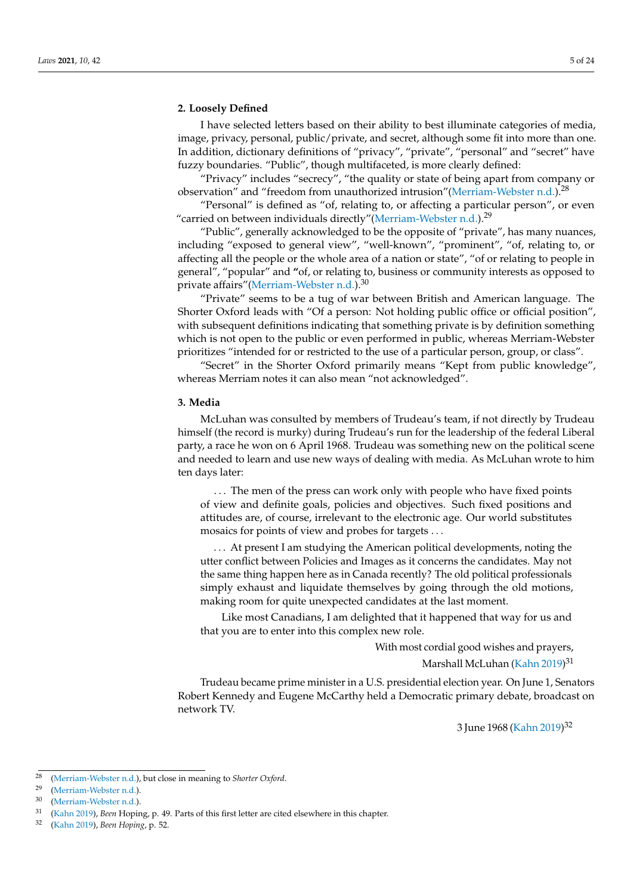I have selected letters based on their ability to best illuminate categories of media, image, privacy, personal, public/private, and secret, although some fit into more than one. In addition, dictionary definitions of "privacy", "private", "personal" and "secret" have fuzzy boundaries. "Public", though multifaceted, is more clearly defined:

"Privacy" includes "secrecy", "the quality or state of being apart from company or observation" and "freedom from unauthorized intrusion"[\(Merriam-Webster](#page-23-18) [n.d.\)](#page-23-18).<sup>28</sup>

"Personal" is defined as "of, relating to, or affecting a particular person", or even "carried on between individuals directly" [\(Merriam-Webster](#page-23-18) [n.d.\)](#page-23-18).<sup>29</sup>

"Public", generally acknowledged to be the opposite of "private", has many nuances, including "exposed to general view", "well-known", "prominent", "of, relating to, or affecting all the people or the whole area of a nation or state", "of or relating to people in general", "popular" and **"**of, or relating to, business or community interests as opposed to private affairs"[\(Merriam-Webster](#page-23-18) [n.d.\)](#page-23-18).<sup>30</sup>

"Private" seems to be a tug of war between British and American language. The Shorter Oxford leads with "Of a person: Not holding public office or official position", with subsequent definitions indicating that something private is by definition something which is not open to the public or even performed in public, whereas Merriam-Webster prioritizes "intended for or restricted to the use of a particular person, group, or class".

"Secret" in the Shorter Oxford primarily means "Kept from public knowledge", whereas Merriam notes it can also mean "not acknowledged".

## **3. Media**

McLuhan was consulted by members of Trudeau's team, if not directly by Trudeau himself (the record is murky) during Trudeau's run for the leadership of the federal Liberal party, a race he won on 6 April 1968. Trudeau was something new on the political scene and needed to learn and use new ways of dealing with media. As McLuhan wrote to him ten days later:

. . . The men of the press can work only with people who have fixed points of view and definite goals, policies and objectives. Such fixed positions and attitudes are, of course, irrelevant to the electronic age. Our world substitutes mosaics for points of view and probes for targets . . .

. . . At present I am studying the American political developments, noting the utter conflict between Policies and Images as it concerns the candidates. May not the same thing happen here as in Canada recently? The old political professionals simply exhaust and liquidate themselves by going through the old motions, making room for quite unexpected candidates at the last moment.

Like most Canadians, I am delighted that it happened that way for us and that you are to enter into this complex new role.

> With most cordial good wishes and prayers, Marshall McLuhan [\(Kahn](#page-23-0) [2019\)](#page-23-0)<sup>31</sup>

Trudeau became prime minister in a U.S. presidential election year. On June 1, Senators Robert Kennedy and Eugene McCarthy held a Democratic primary debate, broadcast on network TV.

3 June 1968 [\(Kahn](#page-23-0) [2019\)](#page-23-0)<sup>32</sup>

<sup>28</sup> [\(Merriam-Webster](#page-23-18) [n.d.\)](#page-23-18), but close in meaning to *Shorter Oxford*.

 $^{29}$  [\(Merriam-Webster](#page-23-18) [n.d.\)](#page-23-18).<br> $^{30}$  (Merriam Webster n.d.).

[<sup>\(</sup>Merriam-Webster](#page-23-18) [n.d.\)](#page-23-18).

<sup>31</sup> [\(Kahn](#page-23-0) [2019\)](#page-23-0), *Been* Hoping, p. 49. Parts of this first letter are cited elsewhere in this chapter.

<sup>32</sup> [\(Kahn](#page-23-0) [2019\)](#page-23-0), *Been Hoping*, p. 52.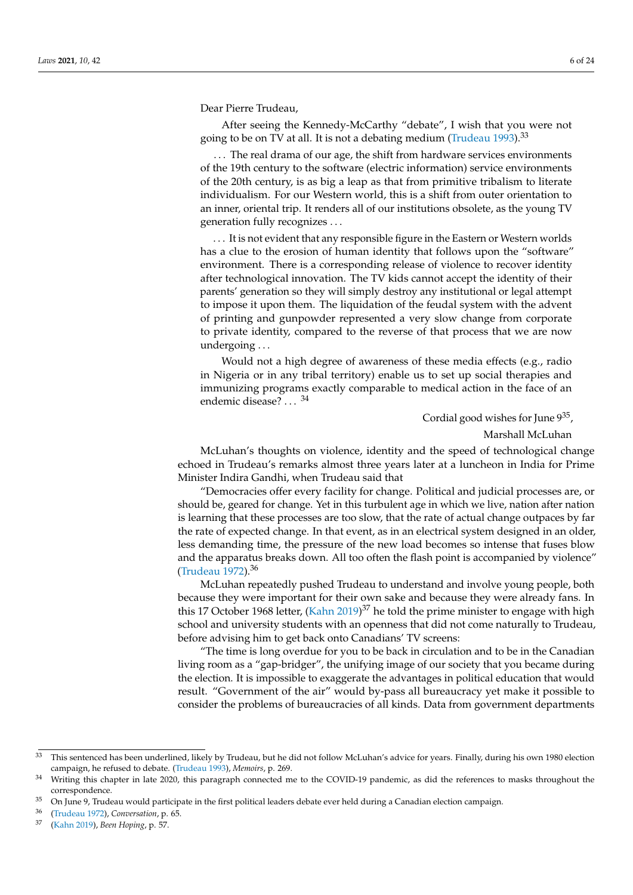Dear Pierre Trudeau,

After seeing the Kennedy-McCarthy "debate", I wish that you were not going to be on TV at all. It is not a debating medium [\(Trudeau](#page-23-17) [1993\)](#page-23-17).<sup>33</sup>

... The real drama of our age, the shift from hardware services environments of the 19th century to the software (electric information) service environments of the 20th century, is as big a leap as that from primitive tribalism to literate individualism. For our Western world, this is a shift from outer orientation to an inner, oriental trip. It renders all of our institutions obsolete, as the young TV generation fully recognizes . . .

. . . It is not evident that any responsible figure in the Eastern or Western worlds has a clue to the erosion of human identity that follows upon the "software" environment. There is a corresponding release of violence to recover identity after technological innovation. The TV kids cannot accept the identity of their parents' generation so they will simply destroy any institutional or legal attempt to impose it upon them. The liquidation of the feudal system with the advent of printing and gunpowder represented a very slow change from corporate to private identity, compared to the reverse of that process that we are now undergoing . . .

Would not a high degree of awareness of these media effects (e.g., radio in Nigeria or in any tribal territory) enable us to set up social therapies and immunizing programs exactly comparable to medical action in the face of an endemic disease? . . . <sup>34</sup>

Cordial good wishes for June 935,

Marshall McLuhan

McLuhan's thoughts on violence, identity and the speed of technological change echoed in Trudeau's remarks almost three years later at a luncheon in India for Prime Minister Indira Gandhi, when Trudeau said that

"Democracies offer every facility for change. Political and judicial processes are, or should be, geared for change. Yet in this turbulent age in which we live, nation after nation is learning that these processes are too slow, that the rate of actual change outpaces by far the rate of expected change. In that event, as in an electrical system designed in an older, less demanding time, the pressure of the new load becomes so intense that fuses blow and the apparatus breaks down. All too often the flash point is accompanied by violence" [\(Trudeau](#page-23-19) [1972\)](#page-23-19).<sup>36</sup>

McLuhan repeatedly pushed Trudeau to understand and involve young people, both because they were important for their own sake and because they were already fans. In this 17 October 1968 letter, [\(Kahn](#page-23-0) [2019\)](#page-23-0)<sup>37</sup> he told the prime minister to engage with high school and university students with an openness that did not come naturally to Trudeau, before advising him to get back onto Canadians' TV screens:

"The time is long overdue for you to be back in circulation and to be in the Canadian living room as a "gap-bridger", the unifying image of our society that you became during the election. It is impossible to exaggerate the advantages in political education that would result. "Government of the air" would by-pass all bureaucracy yet make it possible to consider the problems of bureaucracies of all kinds. Data from government departments

 $\frac{33}{100}$  This sentenced has been underlined, likely by Trudeau, but he did not follow McLuhan's advice for years. Finally, during his own 1980 election campaign, he refused to debate. [\(Trudeau](#page-23-17) [1993\)](#page-23-17), *Memoirs*, p. 269.

<sup>&</sup>lt;sup>34</sup> Writing this chapter in late 2020, this paragraph connected me to the COVID-19 pandemic, as did the references to masks throughout the correspondence.

 $35$  On June 9, Trudeau would participate in the first political leaders debate ever held during a Canadian election campaign.

<sup>36</sup> [\(Trudeau](#page-23-19) [1972\)](#page-23-19), *Conversation*, p. 65.

<sup>37</sup> [\(Kahn](#page-23-0) [2019\)](#page-23-0), *Been Hoping*, p. 57.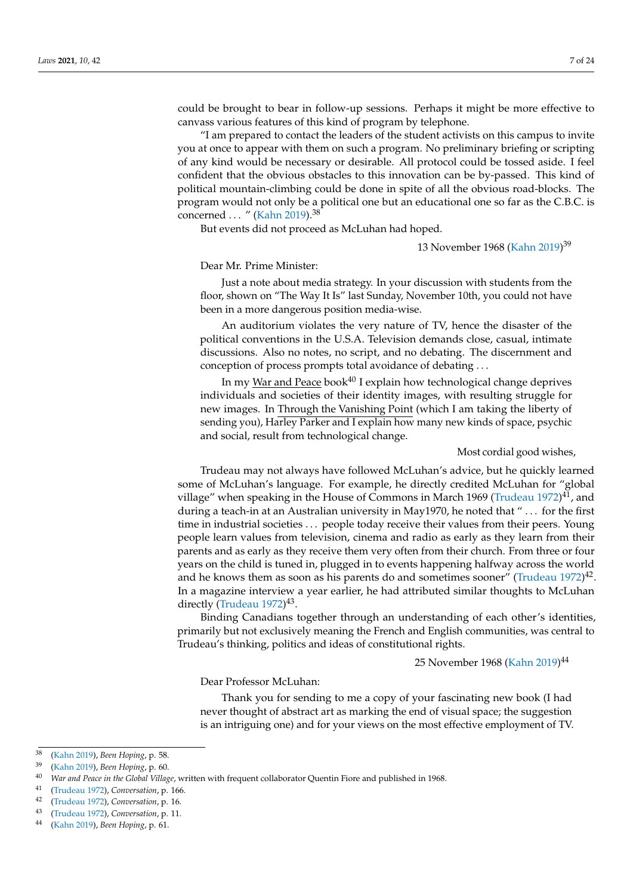could be brought to bear in follow-up sessions. Perhaps it might be more effective to canvass various features of this kind of program by telephone.

"I am prepared to contact the leaders of the student activists on this campus to invite you at once to appear with them on such a program. No preliminary briefing or scripting of any kind would be necessary or desirable. All protocol could be tossed aside. I feel confident that the obvious obstacles to this innovation can be by-passed. This kind of political mountain-climbing could be done in spite of all the obvious road-blocks. The program would not only be a political one but an educational one so far as the C.B.C. is concerned ... " [\(Kahn](#page-23-0) [2019\)](#page-23-0).<sup>38</sup>

But events did not proceed as McLuhan had hoped.

13 November 1968 [\(Kahn](#page-23-0) [2019\)](#page-23-0)<sup>39</sup>

Dear Mr. Prime Minister:

Just a note about media strategy. In your discussion with students from the floor, shown on "The Way It Is" last Sunday, November 10th, you could not have been in a more dangerous position media-wise.

An auditorium violates the very nature of TV, hence the disaster of the political conventions in the U.S.A. Television demands close, casual, intimate discussions. Also no notes, no script, and no debating. The discernment and conception of process prompts total avoidance of debating . . .

In my War and Peace book $40$  I explain how technological change deprives individuals and societies of their identity images, with resulting struggle for new images. In Through the Vanishing Point (which I am taking the liberty of sending you), Harley Parker and I explain how many new kinds of space, psychic and social, result from technological change.

Most cordial good wishes,

Trudeau may not always have followed McLuhan's advice, but he quickly learned some of McLuhan's language. For example, he directly credited McLuhan for "global village" when speaking in the House of Commons in March 1969 [\(Trudeau](#page-23-19) [1972\)](#page-23-19)<sup>41</sup>, and during a teach-in at an Australian university in May1970, he noted that " . . . for the first time in industrial societies . . . people today receive their values from their peers. Young people learn values from television, cinema and radio as early as they learn from their parents and as early as they receive them very often from their church. From three or four years on the child is tuned in, plugged in to events happening halfway across the world and he knows them as soon as his parents do and sometimes sooner" [\(Trudeau](#page-23-19)  $1972)^{42}$  $1972)^{42}$ . In a magazine interview a year earlier, he had attributed similar thoughts to McLuhan directly [\(Trudeau](#page-23-19) [1972\)](#page-23-19)<sup>43</sup>.

Binding Canadians together through an understanding of each other's identities, primarily but not exclusively meaning the French and English communities, was central to Trudeau's thinking, politics and ideas of constitutional rights.

25 November 1968 [\(Kahn](#page-23-0) [2019\)](#page-23-0) 44

Dear Professor McLuhan:

Thank you for sending to me a copy of your fascinating new book (I had never thought of abstract art as marking the end of visual space; the suggestion is an intriguing one) and for your views on the most effective employment of TV.

<sup>38</sup> [\(Kahn](#page-23-0) [2019\)](#page-23-0), *Been Hoping*, p. 58.

<sup>39</sup> [\(Kahn](#page-23-0) [2019\)](#page-23-0), *Been Hoping*, p. 60.

<sup>&</sup>lt;sup>40</sup> *War and Peace in the Global Village*, written with frequent collaborator Quentin Fiore and published in 1968.

<sup>41</sup> [\(Trudeau](#page-23-19) [1972\)](#page-23-19), *Conversation*, p. 166.

<sup>42</sup> [\(Trudeau](#page-23-19) [1972\)](#page-23-19), *Conversation*, p. 16.

<sup>43</sup> [\(Trudeau](#page-23-19) [1972\)](#page-23-19), *Conversation*, p. 11.

<sup>44</sup> [\(Kahn](#page-23-0) [2019\)](#page-23-0), *Been Hoping*, p. 61.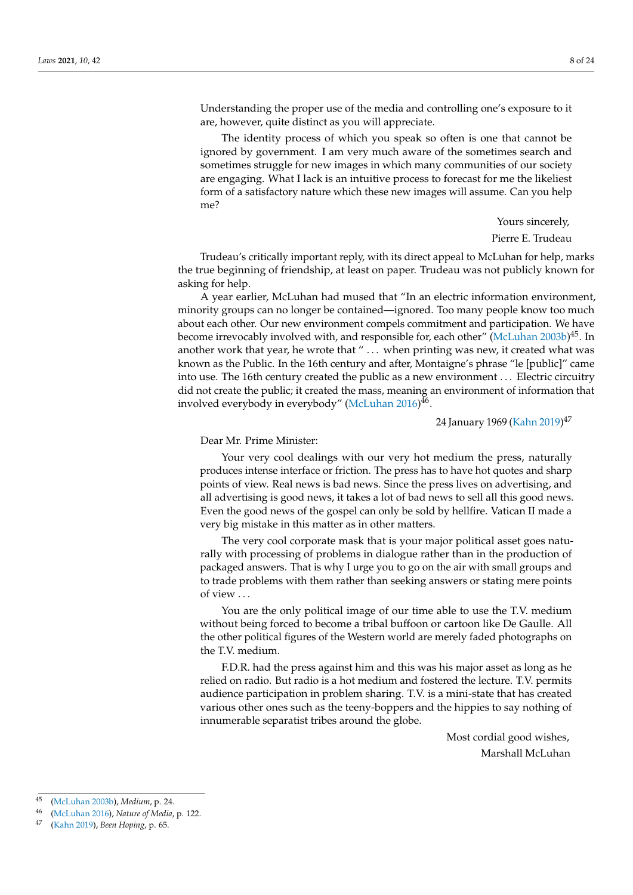Understanding the proper use of the media and controlling one's exposure to it are, however, quite distinct as you will appreciate.

The identity process of which you speak so often is one that cannot be ignored by government. I am very much aware of the sometimes search and sometimes struggle for new images in which many communities of our society are engaging. What I lack is an intuitive process to forecast for me the likeliest form of a satisfactory nature which these new images will assume. Can you help me?

> Yours sincerely, Pierre E. Trudeau

Trudeau's critically important reply, with its direct appeal to McLuhan for help, marks the true beginning of friendship, at least on paper. Trudeau was not publicly known for asking for help.

A year earlier, McLuhan had mused that "In an electric information environment, minority groups can no longer be contained—ignored. Too many people know too much about each other. Our new environment compels commitment and participation. We have become irrevocably involved with, and responsible for, each other" [\(McLuhan](#page-23-7) [2003b\)](#page-23-7)<sup>45</sup>. In another work that year, he wrote that " ... when printing was new, it created what was known as the Public. In the 16th century and after, Montaigne's phrase "le [public]" came into use. The 16th century created the public as a new environment . . . Electric circuitry did not create the public; it created the mass, meaning an environment of information that involved everybody in everybody" [\(McLuhan](#page-23-20) [2016\)](#page-23-20)<sup>46</sup>.

24 January 1969 [\(Kahn](#page-23-0) [2019\)](#page-23-0) 47

# Dear Mr. Prime Minister:

Your very cool dealings with our very hot medium the press, naturally produces intense interface or friction. The press has to have hot quotes and sharp points of view. Real news is bad news. Since the press lives on advertising, and all advertising is good news, it takes a lot of bad news to sell all this good news. Even the good news of the gospel can only be sold by hellfire. Vatican II made a very big mistake in this matter as in other matters.

The very cool corporate mask that is your major political asset goes naturally with processing of problems in dialogue rather than in the production of packaged answers. That is why I urge you to go on the air with small groups and to trade problems with them rather than seeking answers or stating mere points of view . . .

You are the only political image of our time able to use the T.V. medium without being forced to become a tribal buffoon or cartoon like De Gaulle. All the other political figures of the Western world are merely faded photographs on the T.V. medium.

F.D.R. had the press against him and this was his major asset as long as he relied on radio. But radio is a hot medium and fostered the lecture. T.V. permits audience participation in problem sharing. T.V. is a mini-state that has created various other ones such as the teeny-boppers and the hippies to say nothing of innumerable separatist tribes around the globe.

> Most cordial good wishes, Marshall McLuhan

<sup>45</sup> [\(McLuhan](#page-23-7) [2003b\)](#page-23-7), *Medium*, p. 24.

<sup>46</sup> [\(McLuhan](#page-23-20) [2016\)](#page-23-20), *Nature of Media*, p. 122.

<sup>47</sup> [\(Kahn](#page-23-0) [2019\)](#page-23-0), *Been Hoping*, p. 65.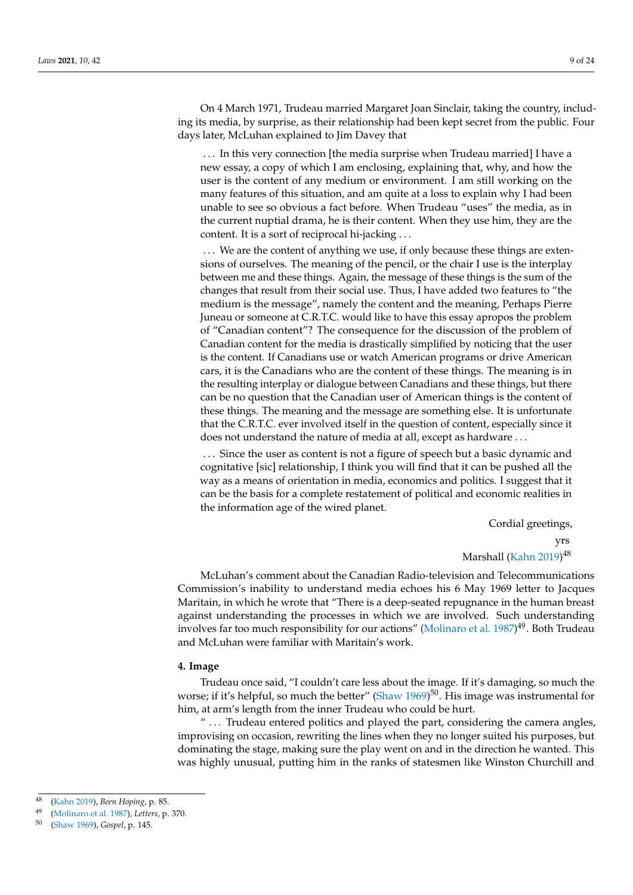On 4 March 1971, Trudeau married Margaret Joan Sinclair, taking the country, including its media, by surprise, as their relationship had been kept secret from the public. Four days later, McLuhan explained to Jim Davey that

. . . In this very connection [the media surprise when Trudeau married] I have a new essay, a copy of which I am enclosing, explaining that, why, and how the user is the content of any medium or environment. I am still working on the many features of this situation, and am quite at a loss to explain why I had been unable to see so obvious a fact before. When Trudeau "uses" the media, as in the current nuptial drama, he is their content. When they use him, they are the content. It is a sort of reciprocal hi-jacking . . .

... We are the content of anything we use, if only because these things are extensions of ourselves. The meaning of the pencil, or the chair I use is the interplay between me and these things. Again, the message of these things is the sum of the changes that result from their social use. Thus, I have added two features to "the medium is the message", namely the content and the meaning, Perhaps Pierre Juneau or someone at C.R.T.C. would like to have this essay apropos the problem of "Canadian content"? The consequence for the discussion of the problem of Canadian content for the media is drastically simplified by noticing that the user is the content. If Canadians use or watch American programs or drive American cars, it is the Canadians who are the content of these things. The meaning is in the resulting interplay or dialogue between Canadians and these things, but there can be no question that the Canadian user of American things is the content of these things. The meaning and the message are something else. It is unfortunate that the C.R.T.C. ever involved itself in the question of content, especially since it does not understand the nature of media at all, except as hardware . . .

... Since the user as content is not a figure of speech but a basic dynamic and cognitative [sic] relationship, I think you will find that it can be pushed all the way as a means of orientation in media, economics and politics. I suggest that it can be the basis for a complete restatement of political and economic realities in the information age of the wired planet.

> Cordial greetings, yrs Marshall [\(Kahn](#page-23-0) [2019\)](#page-23-0) 48

McLuhan's comment about the Canadian Radio-television and Telecommunications Commission's inability to understand media echoes his 6 May 1969 letter to Jacques Maritain, in which he wrote that "There is a deep-seated repugnance in the human breast against understanding the processes in which we are involved. Such understanding involves far too much responsibility for our actions" [\(Molinaro et al.](#page-23-15) [1987\)](#page-23-15)<sup>49</sup>. Both Trudeau and McLuhan were familiar with Maritain's work.

# **4. Image**

Trudeau once said, "I couldn't care less about the image. If it's damaging, so much the worse; if it's helpful, so much the better" [\(Shaw](#page-23-21) [1969\)](#page-23-21)<sup>50</sup>. His image was instrumental for him, at arm's length from the inner Trudeau who could be hurt.

" ... Trudeau entered politics and played the part, considering the camera angles, improvising on occasion, rewriting the lines when they no longer suited his purposes, but dominating the stage, making sure the play went on and in the direction he wanted. This was highly unusual, putting him in the ranks of statesmen like Winston Churchill and

<sup>48</sup> [\(Kahn](#page-23-0) [2019\)](#page-23-0), *Been Hoping*, p. 85.

<sup>49</sup> [\(Molinaro et al.](#page-23-15) [1987\)](#page-23-15), *Letters*, p. 370.

<sup>50</sup> [\(Shaw](#page-23-21) [1969\)](#page-23-21), *Gospel*, p. 145.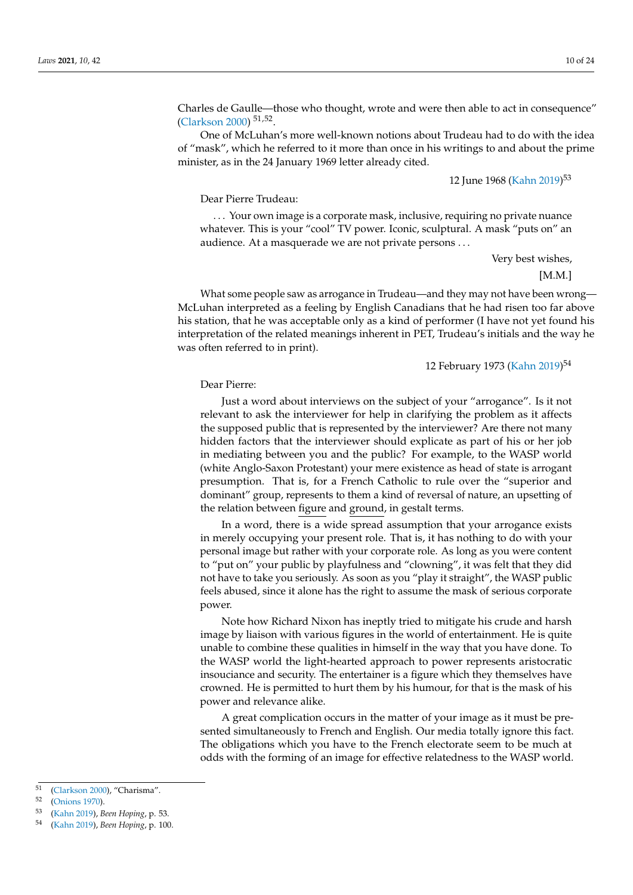Charles de Gaulle—those who thought, wrote and were then able to act in consequence" [\(Clarkson](#page-23-22) [2000\)](#page-23-22)<sup>51,52</sup>.

One of McLuhan's more well-known notions about Trudeau had to do with the idea of "mask", which he referred to it more than once in his writings to and about the prime minister, as in the 24 January 1969 letter already cited.

12 June 1968 [\(Kahn](#page-23-0) [2019\)](#page-23-0) 53

## Dear Pierre Trudeau:

. . . Your own image is a corporate mask, inclusive, requiring no private nuance whatever. This is your "cool" TV power. Iconic, sculptural. A mask "puts on" an audience. At a masquerade we are not private persons . . .

> Very best wishes, [M.M.]

What some people saw as arrogance in Trudeau—and they may not have been wrong— McLuhan interpreted as a feeling by English Canadians that he had risen too far above his station, that he was acceptable only as a kind of performer (I have not yet found his interpretation of the related meanings inherent in PET, Trudeau's initials and the way he was often referred to in print).

12 February 1973 [\(Kahn](#page-23-0) [2019\)](#page-23-0) 54

# Dear Pierre:

Just a word about interviews on the subject of your "arrogance". Is it not relevant to ask the interviewer for help in clarifying the problem as it affects the supposed public that is represented by the interviewer? Are there not many hidden factors that the interviewer should explicate as part of his or her job in mediating between you and the public? For example, to the WASP world (white Anglo-Saxon Protestant) your mere existence as head of state is arrogant presumption. That is, for a French Catholic to rule over the "superior and dominant" group, represents to them a kind of reversal of nature, an upsetting of the relation between figure and ground, in gestalt terms.

In a word, there is a wide spread assumption that your arrogance exists in merely occupying your present role. That is, it has nothing to do with your personal image but rather with your corporate role. As long as you were content to "put on" your public by playfulness and "clowning", it was felt that they did not have to take you seriously. As soon as you "play it straight", the WASP public feels abused, since it alone has the right to assume the mask of serious corporate power.

Note how Richard Nixon has ineptly tried to mitigate his crude and harsh image by liaison with various figures in the world of entertainment. He is quite unable to combine these qualities in himself in the way that you have done. To the WASP world the light-hearted approach to power represents aristocratic insouciance and security. The entertainer is a figure which they themselves have crowned. He is permitted to hurt them by his humour, for that is the mask of his power and relevance alike.

A great complication occurs in the matter of your image as it must be presented simultaneously to French and English. Our media totally ignore this fact. The obligations which you have to the French electorate seem to be much at odds with the forming of an image for effective relatedness to the WASP world.

<sup>53</sup> [\(Kahn](#page-23-0) [2019\)](#page-23-0), *Been Hoping*, p. 53.

 $\frac{51}{52}$  [\(Clarkson](#page-23-22) [2000\)](#page-23-22), "Charisma".

 $\frac{52}{53}$  [\(Onions](#page-23-23) [1970\)](#page-23-23).

<sup>54</sup> [\(Kahn](#page-23-0) [2019\)](#page-23-0), *Been Hoping*, p. 100.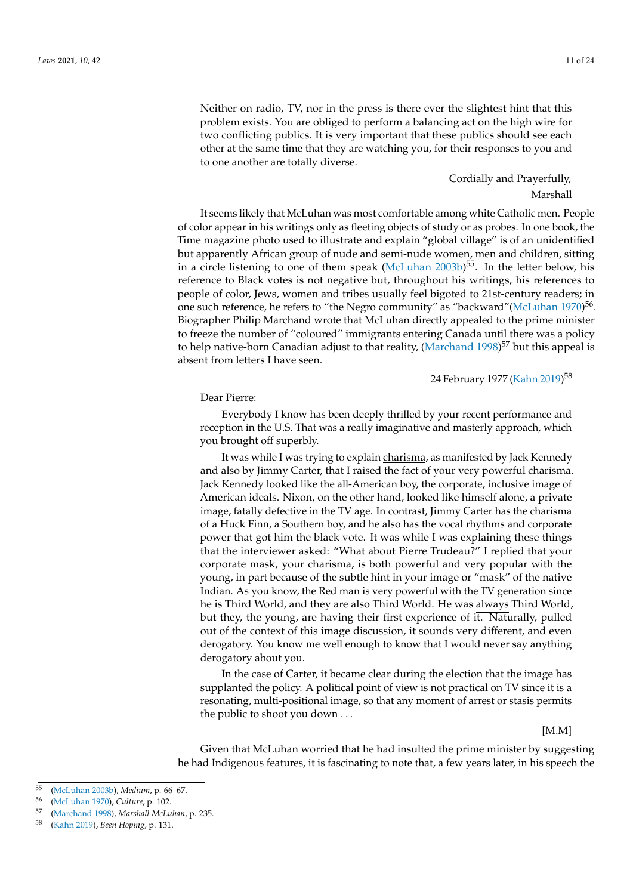Neither on radio, TV, nor in the press is there ever the slightest hint that this problem exists. You are obliged to perform a balancing act on the high wire for two conflicting publics. It is very important that these publics should see each other at the same time that they are watching you, for their responses to you and to one another are totally diverse.

> Cordially and Prayerfully, Marshall

It seems likely that McLuhan was most comfortable among white Catholic men. People of color appear in his writings only as fleeting objects of study or as probes. In one book, the Time magazine photo used to illustrate and explain "global village" is of an unidentified but apparently African group of nude and semi-nude women, men and children, sitting in a circle listening to one of them speak [\(McLuhan](#page-23-7) [2003b\)](#page-23-7)<sup>55</sup>. In the letter below, his reference to Black votes is not negative but, throughout his writings, his references to people of color, Jews, women and tribes usually feel bigoted to 21st-century readers; in one such reference, he refers to "the Negro community" as "backward" [\(McLuhan](#page-23-24) [1970\)](#page-23-24)<sup>56</sup>. Biographer Philip Marchand wrote that McLuhan directly appealed to the prime minister to freeze the number of "coloured" immigrants entering Canada until there was a policy to help native-born Canadian adjust to that reality, [\(Marchand](#page-23-14) [1998\)](#page-23-14)<sup>57</sup> but this appeal is absent from letters I have seen.

24 February 1977 [\(Kahn](#page-23-0) [2019\)](#page-23-0)<sup>58</sup>

#### Dear Pierre:

Everybody I know has been deeply thrilled by your recent performance and reception in the U.S. That was a really imaginative and masterly approach, which you brought off superbly.

It was while I was trying to explain charisma, as manifested by Jack Kennedy and also by Jimmy Carter, that I raised the fact of your very powerful charisma. Jack Kennedy looked like the all-American boy, the corporate, inclusive image of American ideals. Nixon, on the other hand, looked like himself alone, a private image, fatally defective in the TV age. In contrast, Jimmy Carter has the charisma of a Huck Finn, a Southern boy, and he also has the vocal rhythms and corporate power that got him the black vote. It was while I was explaining these things that the interviewer asked: "What about Pierre Trudeau?" I replied that your corporate mask, your charisma, is both powerful and very popular with the young, in part because of the subtle hint in your image or "mask" of the native Indian. As you know, the Red man is very powerful with the TV generation since he is Third World, and they are also Third World. He was always Third World, but they, the young, are having their first experience of it. Naturally, pulled out of the context of this image discussion, it sounds very different, and even derogatory. You know me well enough to know that I would never say anything derogatory about you.

In the case of Carter, it became clear during the election that the image has supplanted the policy. A political point of view is not practical on TV since it is a resonating, multi-positional image, so that any moment of arrest or stasis permits the public to shoot you down . . .

[M.M]

Given that McLuhan worried that he had insulted the prime minister by suggesting he had Indigenous features, it is fascinating to note that, a few years later, in his speech the

<sup>55</sup> [\(McLuhan](#page-23-7) [2003b\)](#page-23-7), *Medium*, p. 66–67.

<sup>56</sup> [\(McLuhan](#page-23-24) [1970\)](#page-23-24), *Culture*, p. 102.

<sup>57</sup> [\(Marchand](#page-23-14) [1998\)](#page-23-14), *Marshall McLuhan*, p. 235.

<sup>58</sup> [\(Kahn](#page-23-0) [2019\)](#page-23-0), *Been Hoping*, p. 131.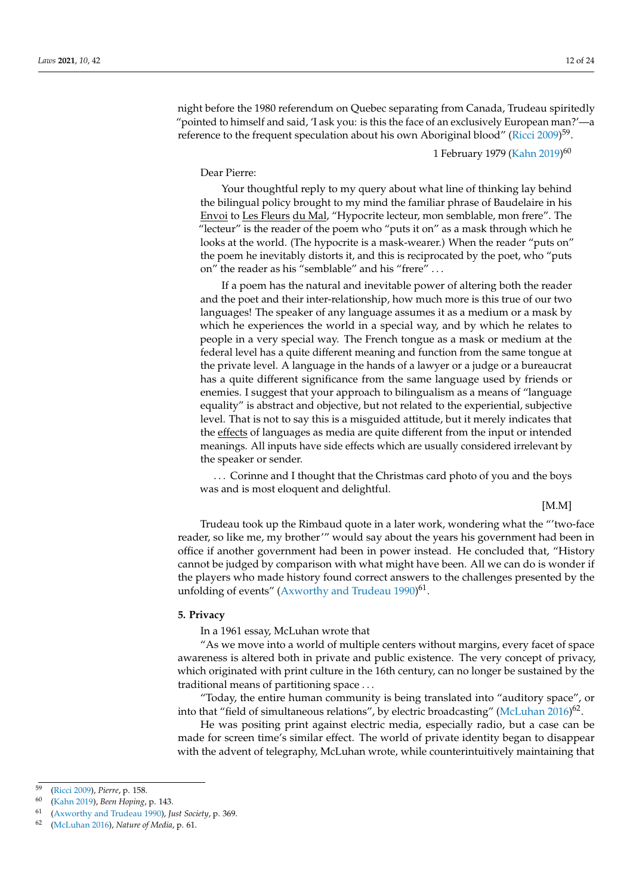night before the 1980 referendum on Quebec separating from Canada, Trudeau spiritedly "pointed to himself and said, 'I ask you: is this the face of an exclusively European man?'—a reference to the frequent speculation about his own Aboriginal blood" [\(Ricci](#page-23-8) [2009\)](#page-23-8)<sup>59</sup>.

1 February 1979 [\(Kahn](#page-23-0) [2019\)](#page-23-0) 60

## Dear Pierre:

Your thoughtful reply to my query about what line of thinking lay behind the bilingual policy brought to my mind the familiar phrase of Baudelaire in his Envoi to Les Fleurs du Mal, "Hypocrite lecteur, mon semblable, mon frere". The "lecteur" is the reader of the poem who "puts it on" as a mask through which he looks at the world. (The hypocrite is a mask-wearer.) When the reader "puts on" the poem he inevitably distorts it, and this is reciprocated by the poet, who "puts on" the reader as his "semblable" and his "frere" ...

If a poem has the natural and inevitable power of altering both the reader and the poet and their inter-relationship, how much more is this true of our two languages! The speaker of any language assumes it as a medium or a mask by which he experiences the world in a special way, and by which he relates to people in a very special way. The French tongue as a mask or medium at the federal level has a quite different meaning and function from the same tongue at the private level. A language in the hands of a lawyer or a judge or a bureaucrat has a quite different significance from the same language used by friends or enemies. I suggest that your approach to bilingualism as a means of "language equality" is abstract and objective, but not related to the experiential, subjective level. That is not to say this is a misguided attitude, but it merely indicates that the effects of languages as media are quite different from the input or intended meanings. All inputs have side effects which are usually considered irrelevant by the speaker or sender.

. . . Corinne and I thought that the Christmas card photo of you and the boys was and is most eloquent and delightful.

## [M.M]

Trudeau took up the Rimbaud quote in a later work, wondering what the "'two-face reader, so like me, my brother'" would say about the years his government had been in office if another government had been in power instead. He concluded that, "History cannot be judged by comparison with what might have been. All we can do is wonder if the players who made history found correct answers to the challenges presented by the unfolding of events" [\(Axworthy and Trudeau](#page-22-1) [1990\)](#page-22-1)<sup>61</sup>.

## **5. Privacy**

In a 1961 essay, McLuhan wrote that

"As we move into a world of multiple centers without margins, every facet of space awareness is altered both in private and public existence. The very concept of privacy, which originated with print culture in the 16th century, can no longer be sustained by the traditional means of partitioning space . . .

"Today, the entire human community is being translated into "auditory space", or into that "field of simultaneous relations", by electric broadcasting" [\(McLuhan](#page-23-20) [2016\)](#page-23-20)<sup>62</sup>.

He was positing print against electric media, especially radio, but a case can be made for screen time's similar effect. The world of private identity began to disappear with the advent of telegraphy, McLuhan wrote, while counterintuitively maintaining that

<sup>59</sup> [\(Ricci](#page-23-8) [2009\)](#page-23-8), *Pierre*, p. 158.

<sup>60</sup> [\(Kahn](#page-23-0) [2019\)](#page-23-0), *Been Hoping*, p. 143.

<sup>61</sup> [\(Axworthy and Trudeau](#page-22-1) [1990\)](#page-22-1), *Just Society*, p. 369.

<sup>62</sup> [\(McLuhan](#page-23-20) [2016\)](#page-23-20), *Nature of Media*, p. 61.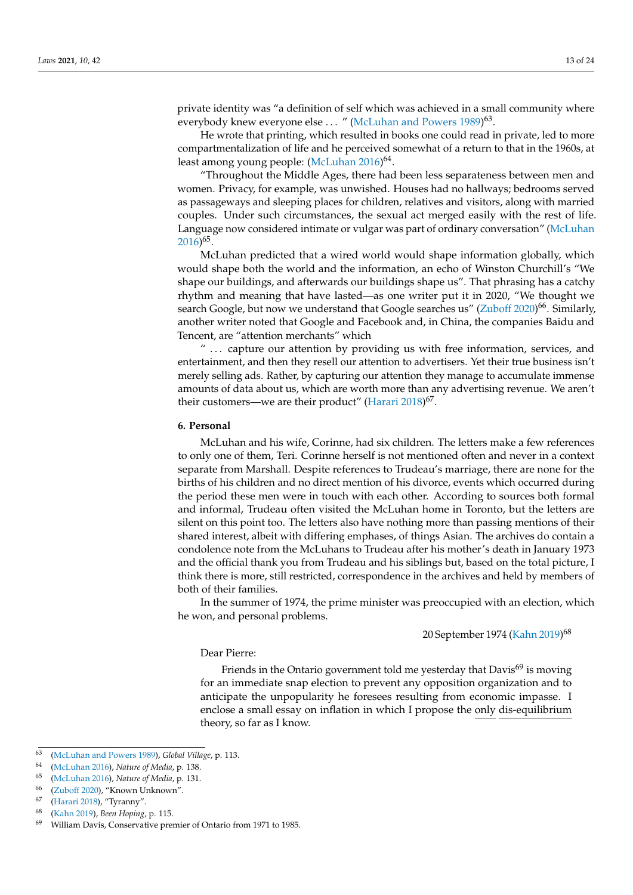private identity was "a definition of self which was achieved in a small community where everybody knew everyone else . . . " [\(McLuhan and Powers](#page-23-2) [1989\)](#page-23-2)<sup>63</sup>.

He wrote that printing, which resulted in books one could read in private, led to more compartmentalization of life and he perceived somewhat of a return to that in the 1960s, at least among young people: [\(McLuhan](#page-23-20) [2016\)](#page-23-20)<sup>64</sup>.

"Throughout the Middle Ages, there had been less separateness between men and women. Privacy, for example, was unwished. Houses had no hallways; bedrooms served as passageways and sleeping places for children, relatives and visitors, along with married couples. Under such circumstances, the sexual act merged easily with the rest of life. Language now considered intimate or vulgar was part of ordinary conversation" [\(McLuhan](#page-23-20)  $2016)^{65}$  $2016)^{65}$ .

McLuhan predicted that a wired world would shape information globally, which would shape both the world and the information, an echo of Winston Churchill's "We shape our buildings, and afterwards our buildings shape us". That phrasing has a catchy rhythm and meaning that have lasted—as one writer put it in 2020, "We thought we search Google, but now we understand that Google searches us" [\(Zuboff](#page-23-25) [2020\)](#page-23-25)<sup>66</sup>. Similarly, another writer noted that Google and Facebook and, in China, the companies Baidu and Tencent, are "attention merchants" which

" ... capture our attention by providing us with free information, services, and entertainment, and then they resell our attention to advertisers. Yet their true business isn't merely selling ads. Rather, by capturing our attention they manage to accumulate immense amounts of data about us, which are worth more than any advertising revenue. We aren't their customers—we are their product" [\(Harari](#page-23-26) [2018\)](#page-23-26)<sup>67</sup>.

# **6. Personal**

McLuhan and his wife, Corinne, had six children. The letters make a few references to only one of them, Teri. Corinne herself is not mentioned often and never in a context separate from Marshall. Despite references to Trudeau's marriage, there are none for the births of his children and no direct mention of his divorce, events which occurred during the period these men were in touch with each other. According to sources both formal and informal, Trudeau often visited the McLuhan home in Toronto, but the letters are silent on this point too. The letters also have nothing more than passing mentions of their shared interest, albeit with differing emphases, of things Asian. The archives do contain a condolence note from the McLuhans to Trudeau after his mother's death in January 1973 and the official thank you from Trudeau and his siblings but, based on the total picture, I think there is more, still restricted, correspondence in the archives and held by members of both of their families.

In the summer of 1974, the prime minister was preoccupied with an election, which he won, and personal problems.

20 September 1974 [\(Kahn](#page-23-0) [2019\)](#page-23-0) 68

# Dear Pierre:

Friends in the Ontario government told me yesterday that Davis<sup>69</sup> is moving for an immediate snap election to prevent any opposition organization and to anticipate the unpopularity he foresees resulting from economic impasse. I enclose a small essay on inflation in which I propose the only dis-equilibrium theory, so far as I know.

<sup>63</sup> [\(McLuhan and Powers](#page-23-2) [1989\)](#page-23-2), *Global Village*, p. 113.

<sup>64</sup> [\(McLuhan](#page-23-20) [2016\)](#page-23-20), *Nature of Media*, p. 138.

<sup>65</sup> [\(McLuhan](#page-23-20) [2016\)](#page-23-20), *Nature of Media*, p. 131.

<sup>&</sup>lt;sup>66</sup> [\(Zuboff](#page-23-25) [2020\)](#page-23-25), "Known Unknown".<br><sup>67</sup> (Useri 2018), "Transmar".

[<sup>\(</sup>Harari](#page-23-26) [2018\)](#page-23-26), "Tyranny".

<sup>68</sup> [\(Kahn](#page-23-0) [2019\)](#page-23-0), *Been Hoping*, p. 115.

William Davis, Conservative premier of Ontario from 1971 to 1985.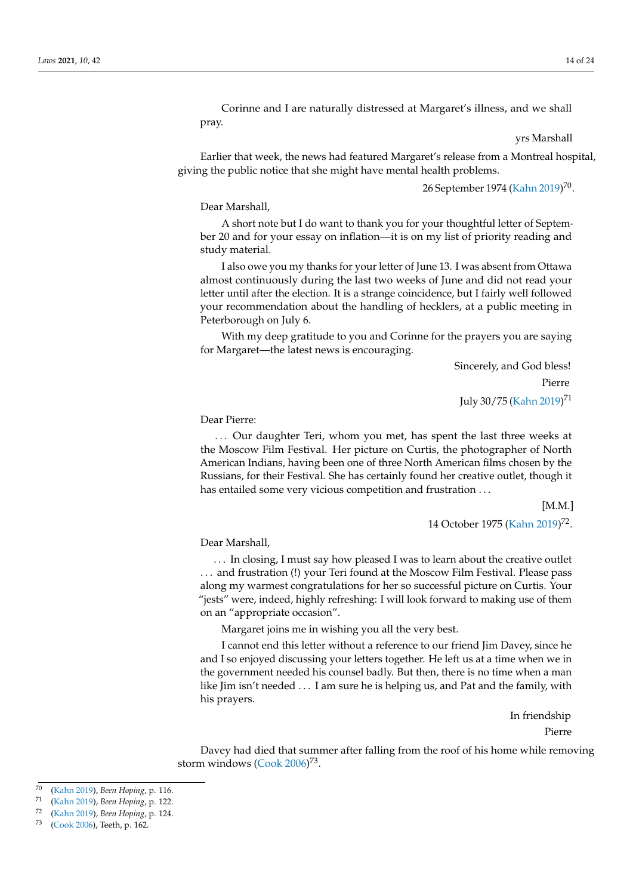Corinne and I are naturally distressed at Margaret's illness, and we shall pray.

yrs Marshall

Earlier that week, the news had featured Margaret's release from a Montreal hospital, giving the public notice that she might have mental health problems.

26 September 1974 [\(Kahn](#page-23-0) [2019\)](#page-23-0)<sup>70</sup>.

Dear Marshall,

A short note but I do want to thank you for your thoughtful letter of September 20 and for your essay on inflation—it is on my list of priority reading and study material.

I also owe you my thanks for your letter of June 13. I was absent from Ottawa almost continuously during the last two weeks of June and did not read your letter until after the election. It is a strange coincidence, but I fairly well followed your recommendation about the handling of hecklers, at a public meeting in Peterborough on July 6.

With my deep gratitude to you and Corinne for the prayers you are saying for Margaret—the latest news is encouraging.

> Sincerely, and God bless! Pierre July 30/75 [\(Kahn](#page-23-0) [2019\)](#page-23-0)<sup>71</sup>

Dear Pierre:

... Our daughter Teri, whom you met, has spent the last three weeks at the Moscow Film Festival. Her picture on Curtis, the photographer of North American Indians, having been one of three North American films chosen by the Russians, for their Festival. She has certainly found her creative outlet, though it has entailed some very vicious competition and frustration . . .

[M.M.]

14 October 1975 [\(Kahn](#page-23-0) [2019\)](#page-23-0)<sup>72</sup>.

Dear Marshall,

... In closing, I must say how pleased I was to learn about the creative outlet ... and frustration (!) your Teri found at the Moscow Film Festival. Please pass along my warmest congratulations for her so successful picture on Curtis. Your "jests" were, indeed, highly refreshing: I will look forward to making use of them on an "appropriate occasion".

Margaret joins me in wishing you all the very best.

I cannot end this letter without a reference to our friend Jim Davey, since he and I so enjoyed discussing your letters together. He left us at a time when we in the government needed his counsel badly. But then, there is no time when a man like Jim isn't needed . . . I am sure he is helping us, and Pat and the family, with his prayers.

In friendship

Pierre

Davey had died that summer after falling from the roof of his home while removing storm windows [\(Cook](#page-23-27) [2006\)](#page-23-27)<sup>73</sup>.

<sup>70</sup> [\(Kahn](#page-23-0) [2019\)](#page-23-0), *Been Hoping*, p. 116.

<sup>71</sup> [\(Kahn](#page-23-0) [2019\)](#page-23-0), *Been Hoping*, p. 122.

<sup>72</sup> [\(Kahn](#page-23-0) [2019\)](#page-23-0), *Been Hoping*, p. 124.

[<sup>\(</sup>Cook](#page-23-27) [2006\)](#page-23-27), Teeth, p. 162.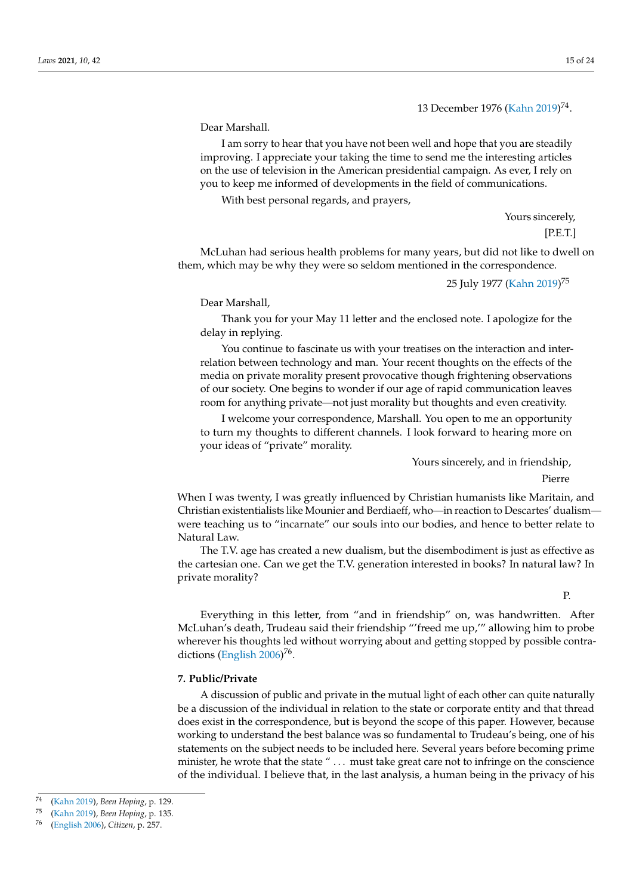# 13 December 1976 [\(Kahn](#page-23-0) [2019\)](#page-23-0) 74 .

Dear Marshall.

I am sorry to hear that you have not been well and hope that you are steadily improving. I appreciate your taking the time to send me the interesting articles on the use of television in the American presidential campaign. As ever, I rely on you to keep me informed of developments in the field of communications.

With best personal regards, and prayers,

Yours sincerely,  $[PE.T.]$ 

McLuhan had serious health problems for many years, but did not like to dwell on them, which may be why they were so seldom mentioned in the correspondence.

25 July 1977 [\(Kahn](#page-23-0) [2019\)](#page-23-0) 75

## Dear Marshall,

Thank you for your May 11 letter and the enclosed note. I apologize for the delay in replying.

You continue to fascinate us with your treatises on the interaction and interrelation between technology and man. Your recent thoughts on the effects of the media on private morality present provocative though frightening observations of our society. One begins to wonder if our age of rapid communication leaves room for anything private—not just morality but thoughts and even creativity.

I welcome your correspondence, Marshall. You open to me an opportunity to turn my thoughts to different channels. I look forward to hearing more on your ideas of "private" morality.

Yours sincerely, and in friendship,

Pierre

When I was twenty, I was greatly influenced by Christian humanists like Maritain, and Christian existentialists like Mounier and Berdiaeff, who—in reaction to Descartes' dualism were teaching us to "incarnate" our souls into our bodies, and hence to better relate to Natural Law.

The T.V. age has created a new dualism, but the disembodiment is just as effective as the cartesian one. Can we get the T.V. generation interested in books? In natural law? In private morality?

P.

Everything in this letter, from "and in friendship" on, was handwritten. After McLuhan's death, Trudeau said their friendship "'freed me up,'" allowing him to probe wherever his thoughts led without worrying about and getting stopped by possible contra-dictions [\(English](#page-23-28) [2006\)](#page-23-28)<sup>76</sup>.

# **7. Public/Private**

A discussion of public and private in the mutual light of each other can quite naturally be a discussion of the individual in relation to the state or corporate entity and that thread does exist in the correspondence, but is beyond the scope of this paper. However, because working to understand the best balance was so fundamental to Trudeau's being, one of his statements on the subject needs to be included here. Several years before becoming prime minister, he wrote that the state " . . . must take great care not to infringe on the conscience of the individual. I believe that, in the last analysis, a human being in the privacy of his

<sup>74</sup> [\(Kahn](#page-23-0) [2019\)](#page-23-0), *Been Hoping*, p. 129.

<sup>75</sup> [\(Kahn](#page-23-0) [2019\)](#page-23-0), *Been Hoping*, p. 135.

<sup>76</sup> [\(English](#page-23-28) [2006\)](#page-23-28), *Citizen*, p. 257.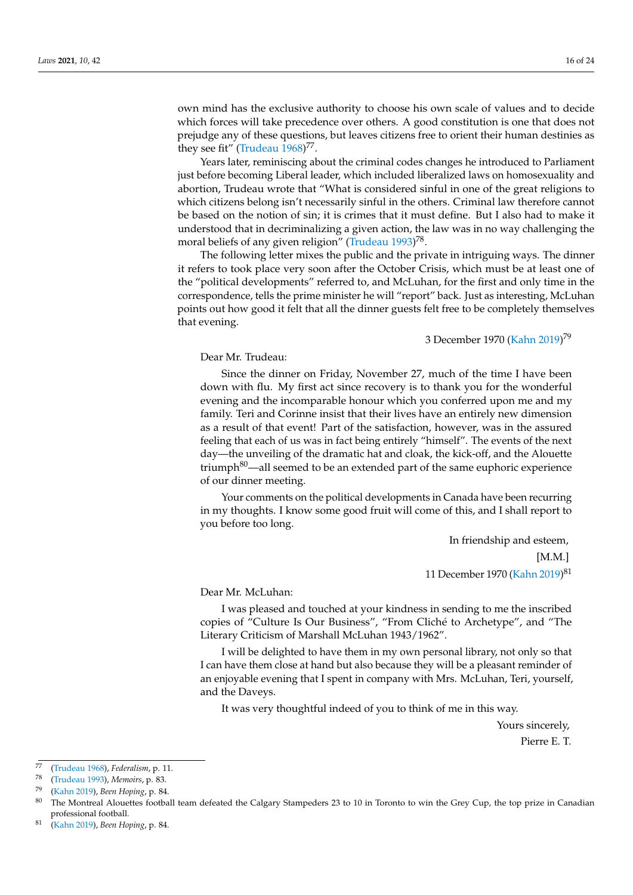own mind has the exclusive authority to choose his own scale of values and to decide which forces will take precedence over others. A good constitution is one that does not prejudge any of these questions, but leaves citizens free to orient their human destinies as they see fit" [\(Trudeau](#page-23-1) [1968\)](#page-23-1)<sup>77</sup>.

Years later, reminiscing about the criminal codes changes he introduced to Parliament just before becoming Liberal leader, which included liberalized laws on homosexuality and abortion, Trudeau wrote that "What is considered sinful in one of the great religions to which citizens belong isn't necessarily sinful in the others. Criminal law therefore cannot be based on the notion of sin; it is crimes that it must define. But I also had to make it understood that in decriminalizing a given action, the law was in no way challenging the moral beliefs of any given religion" [\(Trudeau](#page-23-17) [1993\)](#page-23-17)<sup>78</sup>.

The following letter mixes the public and the private in intriguing ways. The dinner it refers to took place very soon after the October Crisis, which must be at least one of the "political developments" referred to, and McLuhan, for the first and only time in the correspondence, tells the prime minister he will "report" back. Just as interesting, McLuhan points out how good it felt that all the dinner guests felt free to be completely themselves that evening.

3 December 1970 [\(Kahn](#page-23-0) [2019\)](#page-23-0)<sup>79</sup>

# Dear Mr. Trudeau:

Since the dinner on Friday, November 27, much of the time I have been down with flu. My first act since recovery is to thank you for the wonderful evening and the incomparable honour which you conferred upon me and my family. Teri and Corinne insist that their lives have an entirely new dimension as a result of that event! Part of the satisfaction, however, was in the assured feeling that each of us was in fact being entirely "himself". The events of the next day—the unveiling of the dramatic hat and cloak, the kick-off, and the Alouette triumph<sup>80</sup>—all seemed to be an extended part of the same euphoric experience of our dinner meeting.

Your comments on the political developments in Canada have been recurring in my thoughts. I know some good fruit will come of this, and I shall report to you before too long.

> In friendship and esteem, [M.M.] 11 December 1970 [\(Kahn](#page-23-0) [2019\)](#page-23-0) 81

Dear Mr. McLuhan:

I was pleased and touched at your kindness in sending to me the inscribed copies of "Culture Is Our Business", "From Cliché to Archetype", and "The Literary Criticism of Marshall McLuhan 1943/1962".

I will be delighted to have them in my own personal library, not only so that I can have them close at hand but also because they will be a pleasant reminder of an enjoyable evening that I spent in company with Mrs. McLuhan, Teri, yourself, and the Daveys.

It was very thoughtful indeed of you to think of me in this way.

Yours sincerely,

Pierre E. T.

<sup>77</sup> [\(Trudeau](#page-23-1) [1968\)](#page-23-1), *Federalism*, p. 11.

<sup>78</sup> [\(Trudeau](#page-23-17) [1993\)](#page-23-17), *Memoirs*, p. 83.

<sup>79</sup> [\(Kahn](#page-23-0) [2019\)](#page-23-0), *Been Hoping*, p. 84.

<sup>&</sup>lt;sup>80</sup> The Montreal Alouettes football team defeated the Calgary Stampeders 23 to 10 in Toronto to win the Grey Cup, the top prize in Canadian professional football.

<sup>81</sup> [\(Kahn](#page-23-0) [2019\)](#page-23-0), *Been Hoping*, p. 84.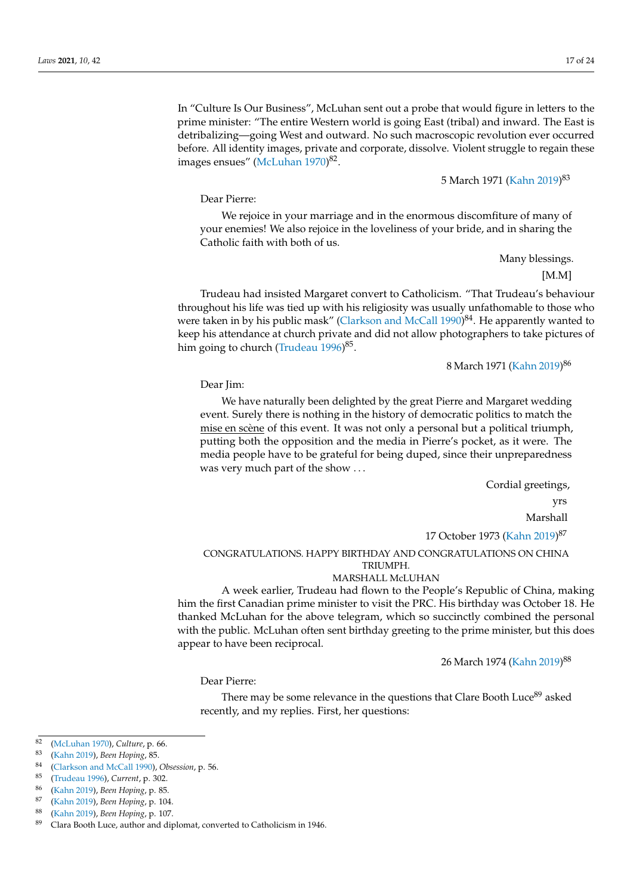In "Culture Is Our Business", McLuhan sent out a probe that would figure in letters to the prime minister: "The entire Western world is going East (tribal) and inward. The East is detribalizing—going West and outward. No such macroscopic revolution ever occurred before. All identity images, private and corporate, dissolve. Violent struggle to regain these images ensues" [\(McLuhan](#page-23-24) [1970\)](#page-23-24)<sup>82</sup>.

# 5 March 1971 [\(Kahn](#page-23-0) [2019\)](#page-23-0)<sup>83</sup>

## Dear Pierre:

We rejoice in your marriage and in the enormous discomfiture of many of your enemies! We also rejoice in the loveliness of your bride, and in sharing the Catholic faith with both of us.

> Many blessings. [M.M]

Trudeau had insisted Margaret convert to Catholicism. "That Trudeau's behaviour throughout his life was tied up with his religiosity was usually unfathomable to those who were taken in by his public mask" [\(Clarkson and McCall](#page-23-9) [1990\)](#page-23-9)<sup>84</sup>. He apparently wanted to keep his attendance at church private and did not allow photographers to take pictures of him going to church [\(Trudeau](#page-23-29) [1996\)](#page-23-29)<sup>85</sup>.

8 March 1971 [\(Kahn](#page-23-0) [2019\)](#page-23-0)<sup>86</sup>

Dear Jim:

We have naturally been delighted by the great Pierre and Margaret wedding event. Surely there is nothing in the history of democratic politics to match the mise en scène of this event. It was not only a personal but a political triumph, putting both the opposition and the media in Pierre's pocket, as it were. The media people have to be grateful for being duped, since their unpreparedness was very much part of the show . . .

> Cordial greetings, yrs

Marshall

17 October 1973 [\(Kahn](#page-23-0) [2019\)](#page-23-0) 87

#### CONGRATULATIONS. HAPPY BIRTHDAY AND CONGRATULATIONS ON CHINA TRIUMPH.

## MARSHALL McLUHAN

A week earlier, Trudeau had flown to the People's Republic of China, making him the first Canadian prime minister to visit the PRC. His birthday was October 18. He thanked McLuhan for the above telegram, which so succinctly combined the personal with the public. McLuhan often sent birthday greeting to the prime minister, but this does appear to have been reciprocal.

26 March 1974 [\(Kahn](#page-23-0) [2019\)](#page-23-0)<sup>88</sup>

Dear Pierre:

There may be some relevance in the questions that Clare Booth Luce<sup>89</sup> asked recently, and my replies. First, her questions:

- <sup>86</sup> [\(Kahn](#page-23-0) [2019\)](#page-23-0), *Been Hoping*, p. 85.
- <sup>87</sup> [\(Kahn](#page-23-0) [2019\)](#page-23-0), *Been Hoping*, p. 104.
- <sup>88</sup> [\(Kahn](#page-23-0) [2019\)](#page-23-0), *Been Hoping*, p. 107.

<sup>82</sup> [\(McLuhan](#page-23-24) [1970\)](#page-23-24), *Culture*, p. 66.

<sup>83</sup> [\(Kahn](#page-23-0) [2019\)](#page-23-0), *Been Hoping*, 85.

<sup>84</sup> [\(Clarkson and McCall](#page-23-9) [1990\)](#page-23-9), *Obsession*, p. 56.

<sup>85</sup> [\(Trudeau](#page-23-29) [1996\)](#page-23-29), *Current*, p. 302.

Clara Booth Luce, author and diplomat, converted to Catholicism in 1946.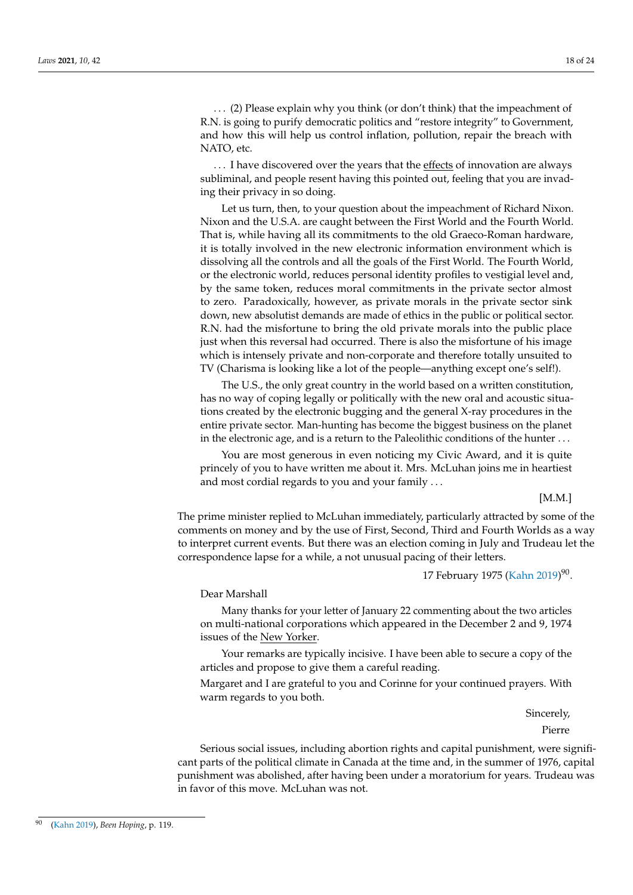. . . (2) Please explain why you think (or don't think) that the impeachment of R.N. is going to purify democratic politics and "restore integrity" to Government, and how this will help us control inflation, pollution, repair the breach with NATO, etc.

... I have discovered over the years that the effects of innovation are always subliminal, and people resent having this pointed out, feeling that you are invading their privacy in so doing.

Let us turn, then, to your question about the impeachment of Richard Nixon. Nixon and the U.S.A. are caught between the First World and the Fourth World. That is, while having all its commitments to the old Graeco-Roman hardware, it is totally involved in the new electronic information environment which is dissolving all the controls and all the goals of the First World. The Fourth World, or the electronic world, reduces personal identity profiles to vestigial level and, by the same token, reduces moral commitments in the private sector almost to zero. Paradoxically, however, as private morals in the private sector sink down, new absolutist demands are made of ethics in the public or political sector. R.N. had the misfortune to bring the old private morals into the public place just when this reversal had occurred. There is also the misfortune of his image which is intensely private and non-corporate and therefore totally unsuited to TV (Charisma is looking like a lot of the people—anything except one's self!).

The U.S., the only great country in the world based on a written constitution, has no way of coping legally or politically with the new oral and acoustic situations created by the electronic bugging and the general X-ray procedures in the entire private sector. Man-hunting has become the biggest business on the planet in the electronic age, and is a return to the Paleolithic conditions of the hunter . . .

You are most generous in even noticing my Civic Award, and it is quite princely of you to have written me about it. Mrs. McLuhan joins me in heartiest and most cordial regards to you and your family . . .

## [M.M.]

The prime minister replied to McLuhan immediately, particularly attracted by some of the comments on money and by the use of First, Second, Third and Fourth Worlds as a way to interpret current events. But there was an election coming in July and Trudeau let the correspondence lapse for a while, a not unusual pacing of their letters.

17 February 1975 [\(Kahn](#page-23-0) [2019\)](#page-23-0)<sup>90</sup>.

## Dear Marshall

Many thanks for your letter of January 22 commenting about the two articles on multi-national corporations which appeared in the December 2 and 9, 1974 issues of the New Yorker.

Your remarks are typically incisive. I have been able to secure a copy of the articles and propose to give them a careful reading.

Margaret and I are grateful to you and Corinne for your continued prayers. With warm regards to you both.

Sincerely,

Pierre

Serious social issues, including abortion rights and capital punishment, were significant parts of the political climate in Canada at the time and, in the summer of 1976, capital punishment was abolished, after having been under a moratorium for years. Trudeau was in favor of this move. McLuhan was not.

<sup>90</sup> [\(Kahn](#page-23-0) [2019\)](#page-23-0), *Been Hoping*, p. 119.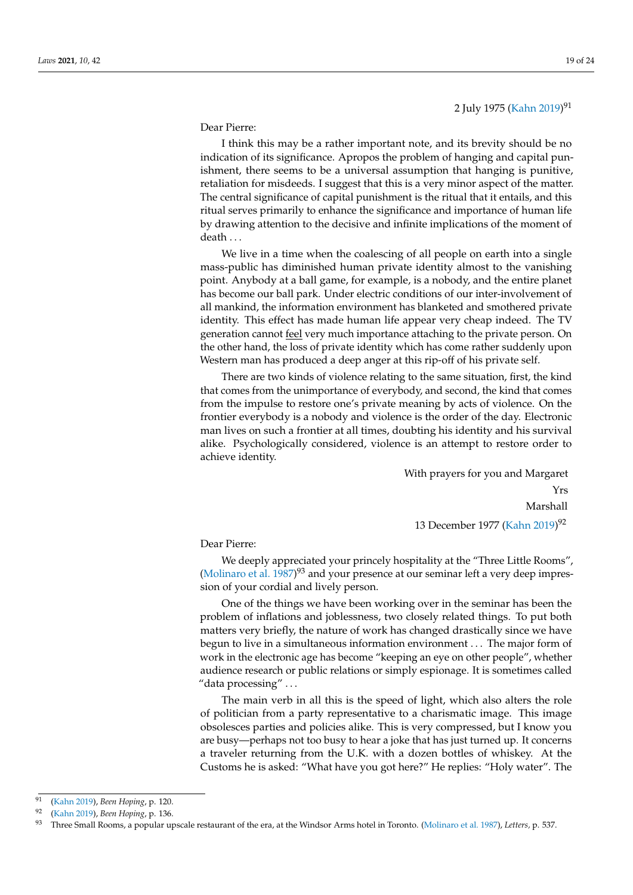# 2 July 1975 [\(Kahn](#page-23-0) [2019\)](#page-23-0)<sup>91</sup>

Dear Pierre:

I think this may be a rather important note, and its brevity should be no indication of its significance. Apropos the problem of hanging and capital punishment, there seems to be a universal assumption that hanging is punitive, retaliation for misdeeds. I suggest that this is a very minor aspect of the matter. The central significance of capital punishment is the ritual that it entails, and this ritual serves primarily to enhance the significance and importance of human life by drawing attention to the decisive and infinite implications of the moment of death . . .

We live in a time when the coalescing of all people on earth into a single mass-public has diminished human private identity almost to the vanishing point. Anybody at a ball game, for example, is a nobody, and the entire planet has become our ball park. Under electric conditions of our inter-involvement of all mankind, the information environment has blanketed and smothered private identity. This effect has made human life appear very cheap indeed. The TV generation cannot feel very much importance attaching to the private person. On the other hand, the loss of private identity which has come rather suddenly upon Western man has produced a deep anger at this rip-off of his private self.

There are two kinds of violence relating to the same situation, first, the kind that comes from the unimportance of everybody, and second, the kind that comes from the impulse to restore one's private meaning by acts of violence. On the frontier everybody is a nobody and violence is the order of the day. Electronic man lives on such a frontier at all times, doubting his identity and his survival alike. Psychologically considered, violence is an attempt to restore order to achieve identity.

> With prayers for you and Margaret Yrs Marshall 13 December 1977 [\(Kahn](#page-23-0) [2019\)](#page-23-0) 92

Dear Pierre:

We deeply appreciated your princely hospitality at the "Three Little Rooms", [\(Molinaro et al.](#page-23-15) [1987\)](#page-23-15)<sup>93</sup> and your presence at our seminar left a very deep impression of your cordial and lively person.

One of the things we have been working over in the seminar has been the problem of inflations and joblessness, two closely related things. To put both matters very briefly, the nature of work has changed drastically since we have begun to live in a simultaneous information environment . . . The major form of work in the electronic age has become "keeping an eye on other people", whether audience research or public relations or simply espionage. It is sometimes called "data processing" ...

The main verb in all this is the speed of light, which also alters the role of politician from a party representative to a charismatic image. This image obsolesces parties and policies alike. This is very compressed, but I know you are busy—perhaps not too busy to hear a joke that has just turned up. It concerns a traveler returning from the U.K. with a dozen bottles of whiskey. At the Customs he is asked: "What have you got here?" He replies: "Holy water". The

<sup>91</sup> [\(Kahn](#page-23-0) [2019\)](#page-23-0), *Been Hoping*, p. 120.

<sup>92</sup> [\(Kahn](#page-23-0) [2019\)](#page-23-0), *Been Hoping*, p. 136.

<sup>93</sup> Three Small Rooms, a popular upscale restaurant of the era, at the Windsor Arms hotel in Toronto. [\(Molinaro et al.](#page-23-15) [1987\)](#page-23-15), *Letters,* p. 537.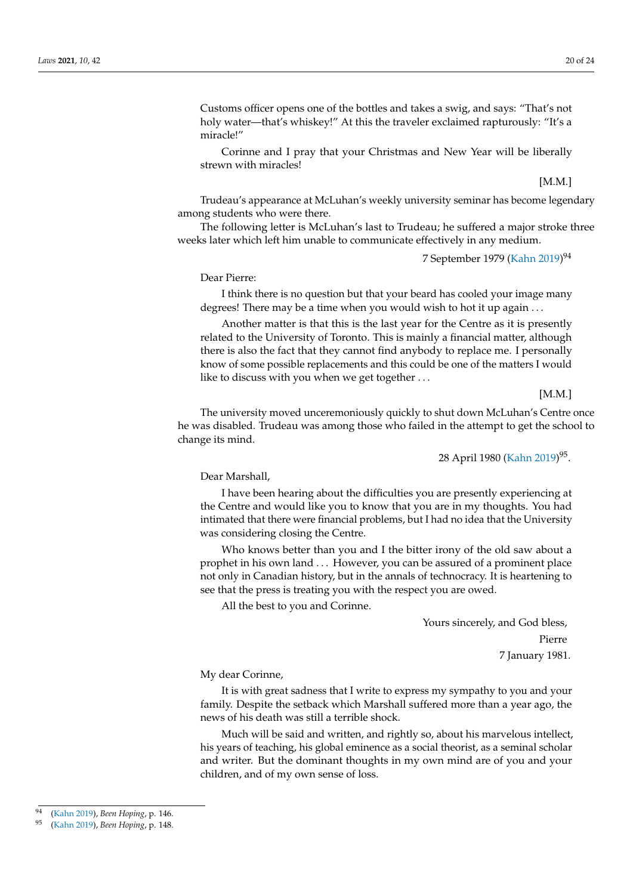Customs officer opens one of the bottles and takes a swig, and says: "That's not holy water—that's whiskey!" At this the traveler exclaimed rapturously: "It's a miracle!"

Corinne and I pray that your Christmas and New Year will be liberally strewn with miracles!

[M.M.]

Trudeau's appearance at McLuhan's weekly university seminar has become legendary among students who were there.

The following letter is McLuhan's last to Trudeau; he suffered a major stroke three weeks later which left him unable to communicate effectively in any medium.

7 September 1979 [\(Kahn](#page-23-0) [2019\)](#page-23-0)<sup>94</sup>

Dear Pierre:

I think there is no question but that your beard has cooled your image many degrees! There may be a time when you would wish to hot it up again . . .

Another matter is that this is the last year for the Centre as it is presently related to the University of Toronto. This is mainly a financial matter, although there is also the fact that they cannot find anybody to replace me. I personally know of some possible replacements and this could be one of the matters I would like to discuss with you when we get together . . .

[M.M.]

The university moved unceremoniously quickly to shut down McLuhan's Centre once he was disabled. Trudeau was among those who failed in the attempt to get the school to change its mind.

28 April 1980 [\(Kahn](#page-23-0) [2019\)](#page-23-0)<sup>95</sup>.

## Dear Marshall,

I have been hearing about the difficulties you are presently experiencing at the Centre and would like you to know that you are in my thoughts. You had intimated that there were financial problems, but I had no idea that the University was considering closing the Centre.

Who knows better than you and I the bitter irony of the old saw about a prophet in his own land . . . However, you can be assured of a prominent place not only in Canadian history, but in the annals of technocracy. It is heartening to see that the press is treating you with the respect you are owed.

All the best to you and Corinne.

Yours sincerely, and God bless, Pierre 7 January 1981.

## My dear Corinne,

It is with great sadness that I write to express my sympathy to you and your family. Despite the setback which Marshall suffered more than a year ago, the news of his death was still a terrible shock.

Much will be said and written, and rightly so, about his marvelous intellect, his years of teaching, his global eminence as a social theorist, as a seminal scholar and writer. But the dominant thoughts in my own mind are of you and your children, and of my own sense of loss.

<sup>94</sup> [\(Kahn](#page-23-0) [2019\)](#page-23-0), *Been Hoping*, p. 146.

<sup>95</sup> [\(Kahn](#page-23-0) [2019\)](#page-23-0), *Been Hoping*, p. 148.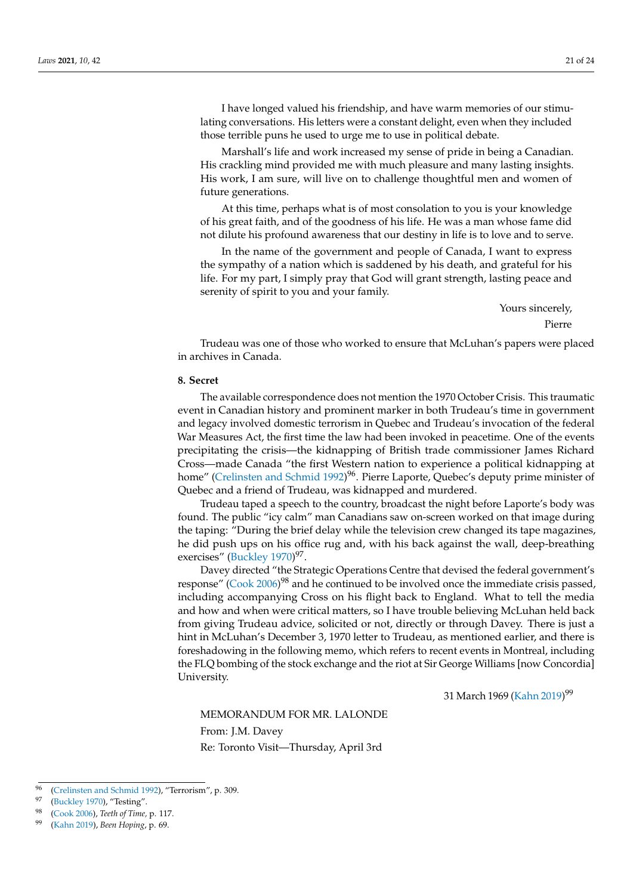I have longed valued his friendship, and have warm memories of our stimulating conversations. His letters were a constant delight, even when they included those terrible puns he used to urge me to use in political debate.

Marshall's life and work increased my sense of pride in being a Canadian. His crackling mind provided me with much pleasure and many lasting insights. His work, I am sure, will live on to challenge thoughtful men and women of future generations.

At this time, perhaps what is of most consolation to you is your knowledge of his great faith, and of the goodness of his life. He was a man whose fame did not dilute his profound awareness that our destiny in life is to love and to serve.

In the name of the government and people of Canada, I want to express the sympathy of a nation which is saddened by his death, and grateful for his life. For my part, I simply pray that God will grant strength, lasting peace and serenity of spirit to you and your family.

Yours sincerely,

Pierre

Trudeau was one of those who worked to ensure that McLuhan's papers were placed in archives in Canada.

## **8. Secret**

The available correspondence does not mention the 1970 October Crisis. This traumatic event in Canadian history and prominent marker in both Trudeau's time in government and legacy involved domestic terrorism in Quebec and Trudeau's invocation of the federal War Measures Act, the first time the law had been invoked in peacetime. One of the events precipitating the crisis—the kidnapping of British trade commissioner James Richard Cross—made Canada "the first Western nation to experience a political kidnapping at home" [\(Crelinsten and Schmid](#page-23-30) [1992\)](#page-23-30)<sup>96</sup>. Pierre Laporte, Quebec's deputy prime minister of Quebec and a friend of Trudeau, was kidnapped and murdered.

Trudeau taped a speech to the country, broadcast the night before Laporte's body was found. The public "icy calm" man Canadians saw on-screen worked on that image during the taping: "During the brief delay while the television crew changed its tape magazines, he did push ups on his office rug and, with his back against the wall, deep-breathing exercises" [\(Buckley](#page-23-31) [1970\)](#page-23-31)<sup>97</sup>.

Davey directed "the Strategic Operations Centre that devised the federal government's response" [\(Cook](#page-23-27) [2006\)](#page-23-27)<sup>98</sup> and he continued to be involved once the immediate crisis passed, including accompanying Cross on his flight back to England. What to tell the media and how and when were critical matters, so I have trouble believing McLuhan held back from giving Trudeau advice, solicited or not, directly or through Davey. There is just a hint in McLuhan's December 3, 1970 letter to Trudeau, as mentioned earlier, and there is foreshadowing in the following memo, which refers to recent events in Montreal, including the FLQ bombing of the stock exchange and the riot at Sir George Williams [now Concordia] University.

31 March 1969 [\(Kahn](#page-23-0) [2019\)](#page-23-0)<sup>99</sup>

MEMORANDUM FOR MR. LALONDE From: J.M. Davey Re: Toronto Visit—Thursday, April 3rd

<sup>&</sup>lt;sup>96</sup> [\(Crelinsten and Schmid](#page-23-30) [1992\)](#page-23-30), "Terrorism", p. 309.

[<sup>\(</sup>Buckley](#page-23-31) [1970\)](#page-23-31), "Testing".

<sup>98</sup> [\(Cook](#page-23-27) [2006\)](#page-23-27), *Teeth of Time,* p. 117.

<sup>99</sup> [\(Kahn](#page-23-0) [2019\)](#page-23-0), *Been Hoping*, p. 69.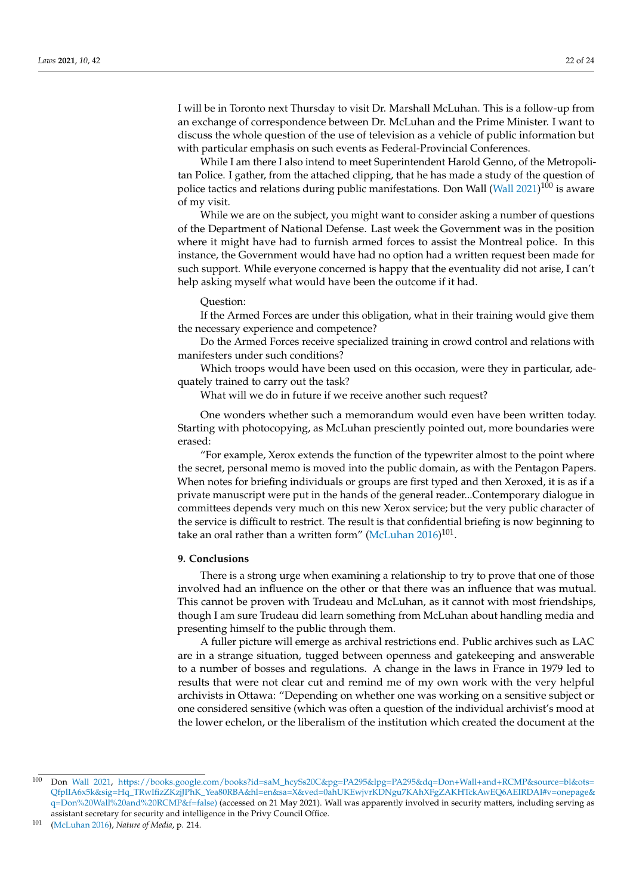I will be in Toronto next Thursday to visit Dr. Marshall McLuhan. This is a follow-up from an exchange of correspondence between Dr. McLuhan and the Prime Minister. I want to discuss the whole question of the use of television as a vehicle of public information but with particular emphasis on such events as Federal-Provincial Conferences.

While I am there I also intend to meet Superintendent Harold Genno, of the Metropolitan Police. I gather, from the attached clipping, that he has made a study of the question of police tactics and relations during public manifestations. Don Wall [\(Wall](#page-23-32) [2021\)](#page-23-32)<sup>100</sup> is aware of my visit.

While we are on the subject, you might want to consider asking a number of questions of the Department of National Defense. Last week the Government was in the position where it might have had to furnish armed forces to assist the Montreal police. In this instance, the Government would have had no option had a written request been made for such support. While everyone concerned is happy that the eventuality did not arise, I can't help asking myself what would have been the outcome if it had.

## Question:

If the Armed Forces are under this obligation, what in their training would give them the necessary experience and competence?

Do the Armed Forces receive specialized training in crowd control and relations with manifesters under such conditions?

Which troops would have been used on this occasion, were they in particular, adequately trained to carry out the task?

What will we do in future if we receive another such request?

One wonders whether such a memorandum would even have been written today. Starting with photocopying, as McLuhan presciently pointed out, more boundaries were erased:

"For example, Xerox extends the function of the typewriter almost to the point where the secret, personal memo is moved into the public domain, as with the Pentagon Papers. When notes for briefing individuals or groups are first typed and then Xeroxed, it is as if a private manuscript were put in the hands of the general reader...Contemporary dialogue in committees depends very much on this new Xerox service; but the very public character of the service is difficult to restrict. The result is that confidential briefing is now beginning to take an oral rather than a written form" [\(McLuhan](#page-23-20) [2016\)](#page-23-20) $^{101}$ .

# **9. Conclusions**

There is a strong urge when examining a relationship to try to prove that one of those involved had an influence on the other or that there was an influence that was mutual. This cannot be proven with Trudeau and McLuhan, as it cannot with most friendships, though I am sure Trudeau did learn something from McLuhan about handling media and presenting himself to the public through them.

A fuller picture will emerge as archival restrictions end. Public archives such as LAC are in a strange situation, tugged between openness and gatekeeping and answerable to a number of bosses and regulations. A change in the laws in France in 1979 led to results that were not clear cut and remind me of my own work with the very helpful archivists in Ottawa: "Depending on whether one was working on a sensitive subject or one considered sensitive (which was often a question of the individual archivist's mood at the lower echelon, or the liberalism of the institution which created the document at the

<sup>100</sup> Don [Wall](#page-23-32) [2021,](#page-23-32) [https://books.google.com/books?id=saM\\_hcySs20C&pg=PA295&lpg=PA295&dq=Don+Wall+and+RCMP&source=bl&ots=](https://books.google.com/books?id=saM_hcySs20C&pg=PA295&lpg=PA295&dq=Don+Wall+and+RCMP&source=bl&ots=QfplIA6x5k&sig=Hq_TRwIfizZKzjJPhK_Yea80RBA&hl=en&sa=X&ved=0ahUKEwjvrKDNgu7KAhXFgZAKHTckAwEQ6AEIRDAI #v=onepage&q=Don%20Wall%20and%20RCMP&f=false)) [QfplIA6x5k&sig=Hq\\_TRwIfizZKzjJPhK\\_Yea80RBA&hl=en&sa=X&ved=0ahUKEwjvrKDNgu7KAhXFgZAKHTckAwEQ6AEIRDAI#v=onepage&](https://books.google.com/books?id=saM_hcySs20C&pg=PA295&lpg=PA295&dq=Don+Wall+and+RCMP&source=bl&ots=QfplIA6x5k&sig=Hq_TRwIfizZKzjJPhK_Yea80RBA&hl=en&sa=X&ved=0ahUKEwjvrKDNgu7KAhXFgZAKHTckAwEQ6AEIRDAI #v=onepage&q=Don%20Wall%20and%20RCMP&f=false)) [q=Don%20Wall%20and%20RCMP&f=false\)](https://books.google.com/books?id=saM_hcySs20C&pg=PA295&lpg=PA295&dq=Don+Wall+and+RCMP&source=bl&ots=QfplIA6x5k&sig=Hq_TRwIfizZKzjJPhK_Yea80RBA&hl=en&sa=X&ved=0ahUKEwjvrKDNgu7KAhXFgZAKHTckAwEQ6AEIRDAI #v=onepage&q=Don%20Wall%20and%20RCMP&f=false)) (accessed on 21 May 2021). Wall was apparently involved in security matters, including serving as assistant secretary for security and intelligence in the Privy Council Office.

<sup>101</sup> [\(McLuhan](#page-23-20) [2016\)](#page-23-20), *Nature of Media*, p. 214.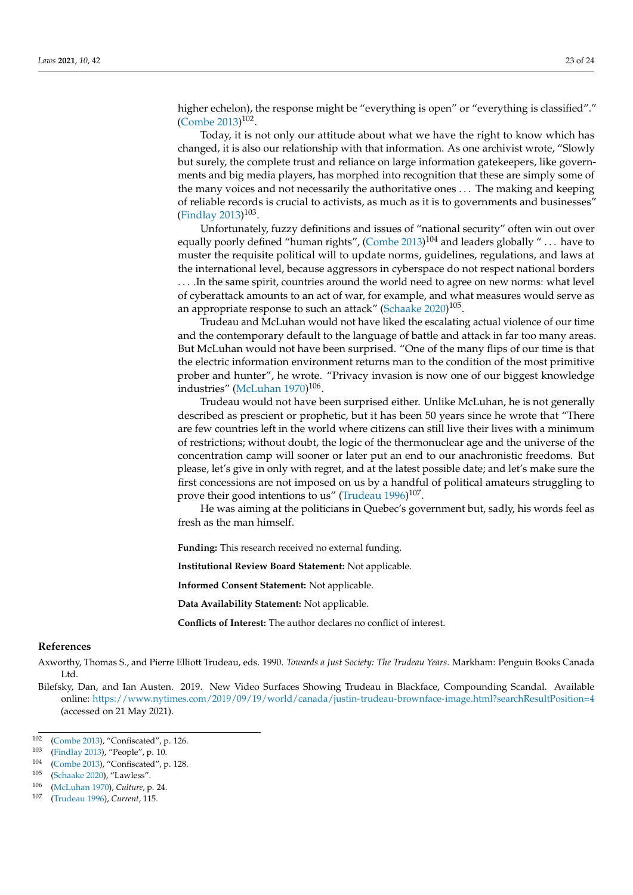higher echelon), the response might be "everything is open" or "everything is classified"." [\(Combe](#page-23-33) [2013\)](#page-23-33) 102 .

Today, it is not only our attitude about what we have the right to know which has changed, it is also our relationship with that information. As one archivist wrote, "Slowly but surely, the complete trust and reliance on large information gatekeepers, like governments and big media players, has morphed into recognition that these are simply some of the many voices and not necessarily the authoritative ones . . . The making and keeping of reliable records is crucial to activists, as much as it is to governments and businesses" [\(Findlay](#page-23-12) [2013\)](#page-23-12) 103 .

Unfortunately, fuzzy definitions and issues of "national security" often win out over equally poorly defined "human rights", [\(Combe](#page-23-33) [2013\)](#page-23-33)<sup>104</sup> and leaders globally " . . . have to muster the requisite political will to update norms, guidelines, regulations, and laws at the international level, because aggressors in cyberspace do not respect national borders . . . .In the same spirit, countries around the world need to agree on new norms: what level of cyberattack amounts to an act of war, for example, and what measures would serve as an appropriate response to such an attack" [\(Schaake](#page-23-34) [2020\)](#page-23-34) $^{105}$ .

Trudeau and McLuhan would not have liked the escalating actual violence of our time and the contemporary default to the language of battle and attack in far too many areas. But McLuhan would not have been surprised. "One of the many flips of our time is that the electric information environment returns man to the condition of the most primitive prober and hunter", he wrote. "Privacy invasion is now one of our biggest knowledge industries" [\(McLuhan](#page-23-24) [1970\)](#page-23-24)<sup>106</sup>.

Trudeau would not have been surprised either. Unlike McLuhan, he is not generally described as prescient or prophetic, but it has been 50 years since he wrote that "There are few countries left in the world where citizens can still live their lives with a minimum of restrictions; without doubt, the logic of the thermonuclear age and the universe of the concentration camp will sooner or later put an end to our anachronistic freedoms. But please, let's give in only with regret, and at the latest possible date; and let's make sure the first concessions are not imposed on us by a handful of political amateurs struggling to prove their good intentions to us" [\(Trudeau](#page-23-29) [1996\)](#page-23-29)<sup>107</sup>.

He was aiming at the politicians in Quebec's government but, sadly, his words feel as fresh as the man himself.

**Funding:** This research received no external funding.

**Institutional Review Board Statement:** Not applicable.

**Informed Consent Statement:** Not applicable.

**Data Availability Statement:** Not applicable.

**Conflicts of Interest:** The author declares no conflict of interest.

## **References**

<span id="page-22-1"></span>Axworthy, Thomas S., and Pierre Elliott Trudeau, eds. 1990. *Towards a Just Society: The Trudeau Years*. Markham: Penguin Books Canada Ltd.

<span id="page-22-0"></span>Bilefsky, Dan, and Ian Austen. 2019. New Video Surfaces Showing Trudeau in Blackface, Compounding Scandal. Available online: <https://www.nytimes.com/2019/09/19/world/canada/justin-trudeau-brownface-image.html?searchResultPosition=4> (accessed on 21 May 2021).

 $102$  [\(Combe](#page-23-33) [2013\)](#page-23-33), "Confiscated", p. 126.<br> $103$  (Findley 2012), "Beenle", p. 10.

 $^{103}$  [\(Findlay](#page-23-12) [2013\)](#page-23-12), "People", p. 10.

 $^{104}$  [\(Combe](#page-23-33) [2013\)](#page-23-33), "Confiscated", p. 128.

[<sup>\(</sup>Schaake](#page-23-34) [2020\)](#page-23-34), "Lawless".

<sup>106</sup> [\(McLuhan](#page-23-24) [1970\)](#page-23-24), *Culture*, p. 24.

<sup>107</sup> [\(Trudeau](#page-23-29) [1996\)](#page-23-29), *Current*, 115.